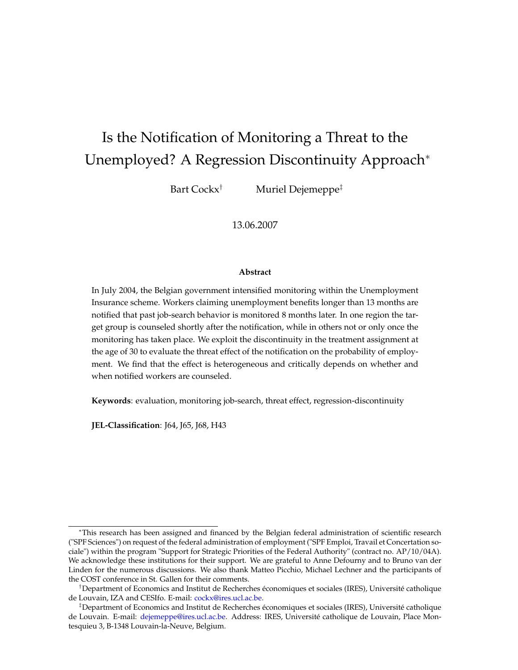# Is the Notification of Monitoring a Threat to the Unemployed? A Regression Discontinuity Approach<sup>∗</sup>

Bart Cockx<sup>†</sup> Muriel Dejemeppe<sup>‡</sup>

13.06.2007

#### **Abstract**

In July 2004, the Belgian government intensified monitoring within the Unemployment Insurance scheme. Workers claiming unemployment benefits longer than 13 months are notified that past job-search behavior is monitored 8 months later. In one region the target group is counseled shortly after the notification, while in others not or only once the monitoring has taken place. We exploit the discontinuity in the treatment assignment at the age of 30 to evaluate the threat effect of the notification on the probability of employment. We find that the effect is heterogeneous and critically depends on whether and when notified workers are counseled.

**Keywords**: evaluation, monitoring job-search, threat effect, regression-discontinuity

**JEL-Classification**: J64, J65, J68, H43

<sup>∗</sup>This research has been assigned and financed by the Belgian federal administration of scientific research ("SPF Sciences") on request of the federal administration of employment ("SPF Emploi, Travail et Concertation sociale") within the program "Support for Strategic Priorities of the Federal Authority" (contract no. AP/10/04A). We acknowledge these institutions for their support. We are grateful to Anne Defourny and to Bruno van der Linden for the numerous discussions. We also thank Matteo Picchio, Michael Lechner and the participants of the COST conference in St. Gallen for their comments.

<sup>†</sup>Department of Economics and Institut de Recherches économiques et sociales (IRES), Université catholique de Louvain, IZA and CESIfo. E-mail: cockx@ires.ucl.ac.be.

<sup>‡</sup>Department of Economics and Institut de Recherches économiques et sociales (IRES), Université catholique de Louvain. E-mail: dejemeppe@ires.ucl.ac.be. Address: IRES, Université catholique de Louvain, Place Montesquieu 3, B-1348 Louvain-la-Neuve, Belgium.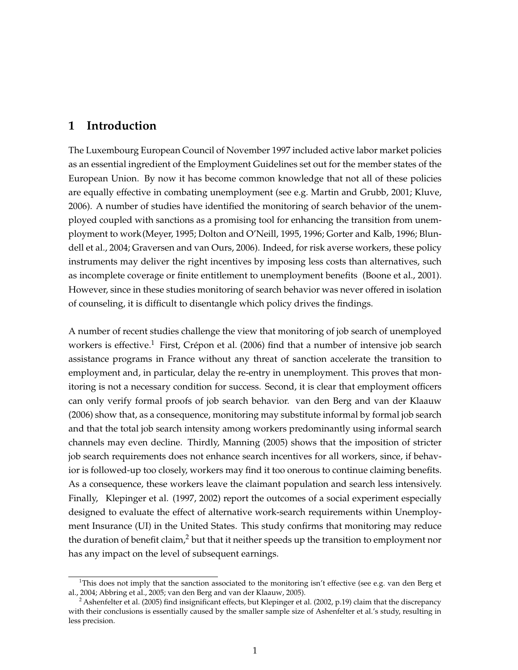# **1 Introduction**

The Luxembourg European Council of November 1997 included active labor market policies as an essential ingredient of the Employment Guidelines set out for the member states of the European Union. By now it has become common knowledge that not all of these policies are equally effective in combating unemployment (see e.g. Martin and Grubb, 2001; Kluve, 2006). A number of studies have identified the monitoring of search behavior of the unemployed coupled with sanctions as a promising tool for enhancing the transition from unemployment to work(Meyer, 1995; Dolton and O'Neill, 1995, 1996; Gorter and Kalb, 1996; Blundell et al., 2004; Graversen and van Ours, 2006). Indeed, for risk averse workers, these policy instruments may deliver the right incentives by imposing less costs than alternatives, such as incomplete coverage or finite entitlement to unemployment benefits (Boone et al., 2001). However, since in these studies monitoring of search behavior was never offered in isolation of counseling, it is difficult to disentangle which policy drives the findings.

A number of recent studies challenge the view that monitoring of job search of unemployed workers is effective.<sup>1</sup> First, Crépon et al. (2006) find that a number of intensive job search assistance programs in France without any threat of sanction accelerate the transition to employment and, in particular, delay the re-entry in unemployment. This proves that monitoring is not a necessary condition for success. Second, it is clear that employment officers can only verify formal proofs of job search behavior. van den Berg and van der Klaauw (2006) show that, as a consequence, monitoring may substitute informal by formal job search and that the total job search intensity among workers predominantly using informal search channels may even decline. Thirdly, Manning (2005) shows that the imposition of stricter job search requirements does not enhance search incentives for all workers, since, if behavior is followed-up too closely, workers may find it too onerous to continue claiming benefits. As a consequence, these workers leave the claimant population and search less intensively. Finally, Klepinger et al. (1997, 2002) report the outcomes of a social experiment especially designed to evaluate the effect of alternative work-search requirements within Unemployment Insurance (UI) in the United States. This study confirms that monitoring may reduce the duration of benefit claim,<sup>2</sup> but that it neither speeds up the transition to employment nor has any impact on the level of subsequent earnings.

<sup>&</sup>lt;sup>1</sup>This does not imply that the sanction associated to the monitoring isn't effective (see e.g. van den Berg et al., 2004; Abbring et al., 2005; van den Berg and van der Klaauw, 2005).

<sup>&</sup>lt;sup>2</sup> Ashenfelter et al. (2005) find insignificant effects, but Klepinger et al. (2002, p.19) claim that the discrepancy with their conclusions is essentially caused by the smaller sample size of Ashenfelter et al.'s study, resulting in less precision.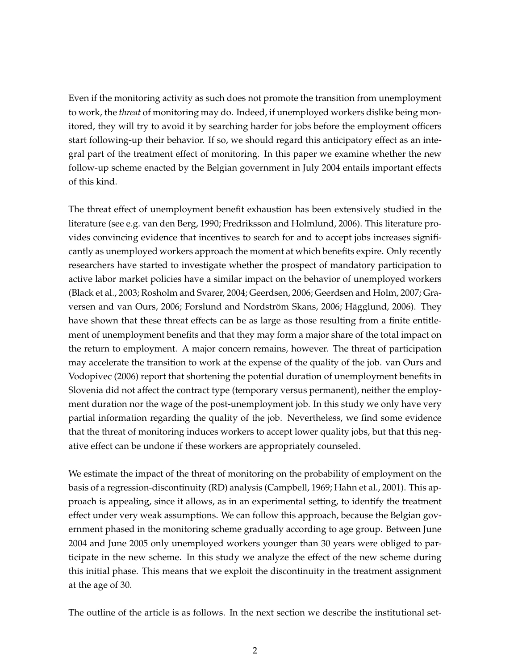Even if the monitoring activity as such does not promote the transition from unemployment to work, the *threat* of monitoring may do. Indeed, if unemployed workers dislike being monitored, they will try to avoid it by searching harder for jobs before the employment officers start following-up their behavior. If so, we should regard this anticipatory effect as an integral part of the treatment effect of monitoring. In this paper we examine whether the new follow-up scheme enacted by the Belgian government in July 2004 entails important effects of this kind.

The threat effect of unemployment benefit exhaustion has been extensively studied in the literature (see e.g. van den Berg, 1990; Fredriksson and Holmlund, 2006). This literature provides convincing evidence that incentives to search for and to accept jobs increases significantly as unemployed workers approach the moment at which benefits expire. Only recently researchers have started to investigate whether the prospect of mandatory participation to active labor market policies have a similar impact on the behavior of unemployed workers (Black et al., 2003; Rosholm and Svarer, 2004; Geerdsen, 2006; Geerdsen and Holm, 2007; Graversen and van Ours, 2006; Forslund and Nordström Skans, 2006; Hägglund, 2006). They have shown that these threat effects can be as large as those resulting from a finite entitlement of unemployment benefits and that they may form a major share of the total impact on the return to employment. A major concern remains, however. The threat of participation may accelerate the transition to work at the expense of the quality of the job. van Ours and Vodopivec (2006) report that shortening the potential duration of unemployment benefits in Slovenia did not affect the contract type (temporary versus permanent), neither the employment duration nor the wage of the post-unemployment job. In this study we only have very partial information regarding the quality of the job. Nevertheless, we find some evidence that the threat of monitoring induces workers to accept lower quality jobs, but that this negative effect can be undone if these workers are appropriately counseled.

We estimate the impact of the threat of monitoring on the probability of employment on the basis of a regression-discontinuity (RD) analysis (Campbell, 1969; Hahn et al., 2001). This approach is appealing, since it allows, as in an experimental setting, to identify the treatment effect under very weak assumptions. We can follow this approach, because the Belgian government phased in the monitoring scheme gradually according to age group. Between June 2004 and June 2005 only unemployed workers younger than 30 years were obliged to participate in the new scheme. In this study we analyze the effect of the new scheme during this initial phase. This means that we exploit the discontinuity in the treatment assignment at the age of 30.

The outline of the article is as follows. In the next section we describe the institutional set-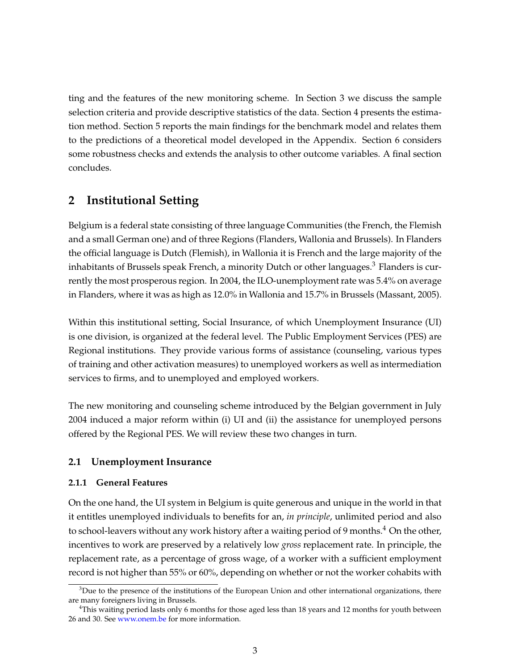ting and the features of the new monitoring scheme. In Section 3 we discuss the sample selection criteria and provide descriptive statistics of the data. Section 4 presents the estimation method. Section 5 reports the main findings for the benchmark model and relates them to the predictions of a theoretical model developed in the Appendix. Section 6 considers some robustness checks and extends the analysis to other outcome variables. A final section concludes.

# **2 Institutional Setting**

Belgium is a federal state consisting of three language Communities (the French, the Flemish and a small German one) and of three Regions (Flanders, Wallonia and Brussels). In Flanders the official language is Dutch (Flemish), in Wallonia it is French and the large majority of the inhabitants of Brussels speak French, a minority Dutch or other languages.<sup>3</sup> Flanders is currently the most prosperous region. In 2004, the ILO-unemployment rate was 5.4% on average in Flanders, where it was as high as 12.0% in Wallonia and 15.7% in Brussels (Massant, 2005).

Within this institutional setting, Social Insurance, of which Unemployment Insurance (UI) is one division, is organized at the federal level. The Public Employment Services (PES) are Regional institutions. They provide various forms of assistance (counseling, various types of training and other activation measures) to unemployed workers as well as intermediation services to firms, and to unemployed and employed workers.

The new monitoring and counseling scheme introduced by the Belgian government in July 2004 induced a major reform within (i) UI and (ii) the assistance for unemployed persons offered by the Regional PES. We will review these two changes in turn.

### **2.1 Unemployment Insurance**

#### **2.1.1 General Features**

On the one hand, the UI system in Belgium is quite generous and unique in the world in that it entitles unemployed individuals to benefits for an, *in principle*, unlimited period and also to school-leavers without any work history after a waiting period of 9 months.<sup>4</sup> On the other, incentives to work are preserved by a relatively low *gross* replacement rate. In principle, the replacement rate, as a percentage of gross wage, of a worker with a sufficient employment record is not higher than 55% or 60%, depending on whether or not the worker cohabits with

 $3$ Due to the presence of the institutions of the European Union and other international organizations, there are many foreigners living in Brussels.

 $4$ This waiting period lasts only 6 months for those aged less than 18 years and 12 months for youth between 26 and 30. See www.onem.be for more information.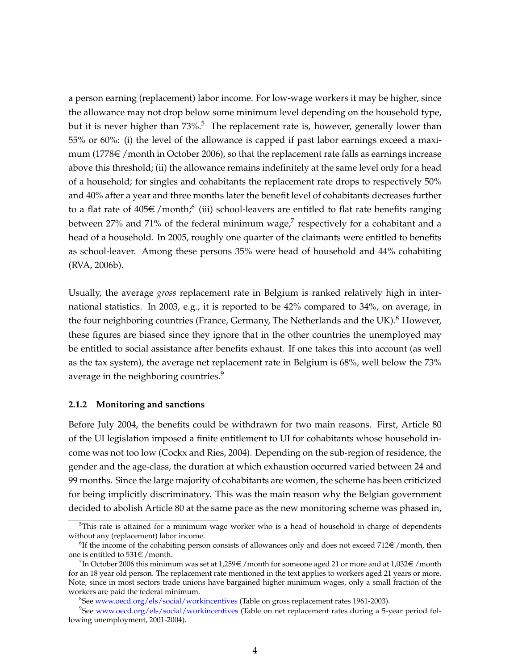a person earning (replacement) labor income. For low-wage workers it may be higher, since the allowance may not drop below some minimum level depending on the household type, but it is never higher than  $73\%$ <sup>5</sup>. The replacement rate is, however, generally lower than 55% or 60%: (i) the level of the allowance is capped if past labor earnings exceed a maximum (1778 $\epsilon$  /month in October 2006), so that the replacement rate falls as earnings increase above this threshold; (ii) the allowance remains indefinitely at the same level only for a head of a household; for singles and cohabitants the replacement rate drops to respectively 50% and 40% after a year and three months later the benefit level of cohabitants decreases further to a flat rate of  $405 \in \text{/month;}^6$  (iii) school-leavers are entitled to flat rate benefits ranging between 27% and 71% of the federal minimum wage,<sup>7</sup> respectively for a cohabitant and a head of a household. In 2005, roughly one quarter of the claimants were entitled to benefits as school-leaver. Among these persons 35% were head of household and 44% cohabiting (RVA, 2006b).

Usually, the average *gross* replacement rate in Belgium is ranked relatively high in international statistics. In 2003, e.g., it is reported to be 42% compared to 34%, on average, in the four neighboring countries (France, Germany, The Netherlands and the UK).<sup>8</sup> However, these figures are biased since they ignore that in the other countries the unemployed may be entitled to social assistance after benefits exhaust. If one takes this into account (as well as the tax system), the average net replacement rate in Belgium is 68%, well below the 73% average in the neighboring countries.<sup>9</sup>

#### **2.1.2 Monitoring and sanctions**

Before July 2004, the benefits could be withdrawn for two main reasons. First, Article 80 of the UI legislation imposed a finite entitlement to UI for cohabitants whose household income was not too low (Cockx and Ries, 2004). Depending on the sub-region of residence, the gender and the age-class, the duration at which exhaustion occurred varied between 24 and 99 months. Since the large majority of cohabitants are women, the scheme has been criticized for being implicitly discriminatory. This was the main reason why the Belgian government decided to abolish Article 80 at the same pace as the new monitoring scheme was phased in,

 $5$ This rate is attained for a minimum wage worker who is a head of household in charge of dependents without any (replacement) labor income.

 ${}^{6}$ If the income of the cohabiting person consists of allowances only and does not exceed 712 $\in$  /month, then one is entitled to  $531 \in /$  month.

 $^{7}$ In October 2006 this minimum was set at 1,259 $\in$  / month for someone aged 21 or more and at 1,032 $\in$  /month for an 18 year old person. The replacement rate mentioned in the text applies to workers aged 21 years or more. Note, since in most sectors trade unions have bargained higher minimum wages, only a small fraction of the workers are paid the federal minimum.

<sup>&</sup>lt;sup>8</sup>See www.oecd.org/els/social/workincentives (Table on gross replacement rates 1961-2003).

<sup>9</sup> See www.oecd.org/els/social/workincentives (Table on net replacement rates during a 5-year period following unemployment, 2001-2004).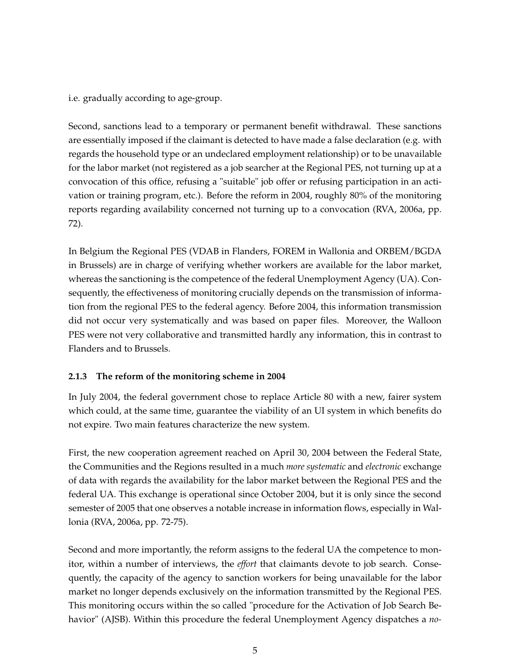i.e. gradually according to age-group.

Second, sanctions lead to a temporary or permanent benefit withdrawal. These sanctions are essentially imposed if the claimant is detected to have made a false declaration (e.g. with regards the household type or an undeclared employment relationship) or to be unavailable for the labor market (not registered as a job searcher at the Regional PES, not turning up at a convocation of this office, refusing a "suitable" job offer or refusing participation in an activation or training program, etc.). Before the reform in 2004, roughly 80% of the monitoring reports regarding availability concerned not turning up to a convocation (RVA, 2006a, pp. 72).

In Belgium the Regional PES (VDAB in Flanders, FOREM in Wallonia and ORBEM/BGDA in Brussels) are in charge of verifying whether workers are available for the labor market, whereas the sanctioning is the competence of the federal Unemployment Agency (UA). Consequently, the effectiveness of monitoring crucially depends on the transmission of information from the regional PES to the federal agency. Before 2004, this information transmission did not occur very systematically and was based on paper files. Moreover, the Walloon PES were not very collaborative and transmitted hardly any information, this in contrast to Flanders and to Brussels.

### **2.1.3 The reform of the monitoring scheme in 2004**

In July 2004, the federal government chose to replace Article 80 with a new, fairer system which could, at the same time, guarantee the viability of an UI system in which benefits do not expire. Two main features characterize the new system.

First, the new cooperation agreement reached on April 30, 2004 between the Federal State, the Communities and the Regions resulted in a much *more systematic* and *electronic* exchange of data with regards the availability for the labor market between the Regional PES and the federal UA. This exchange is operational since October 2004, but it is only since the second semester of 2005 that one observes a notable increase in information flows, especially in Wallonia (RVA, 2006a, pp. 72-75).

Second and more importantly, the reform assigns to the federal UA the competence to monitor, within a number of interviews, the *effort* that claimants devote to job search. Consequently, the capacity of the agency to sanction workers for being unavailable for the labor market no longer depends exclusively on the information transmitted by the Regional PES. This monitoring occurs within the so called "procedure for the Activation of Job Search Behavior" (AJSB). Within this procedure the federal Unemployment Agency dispatches a *no-*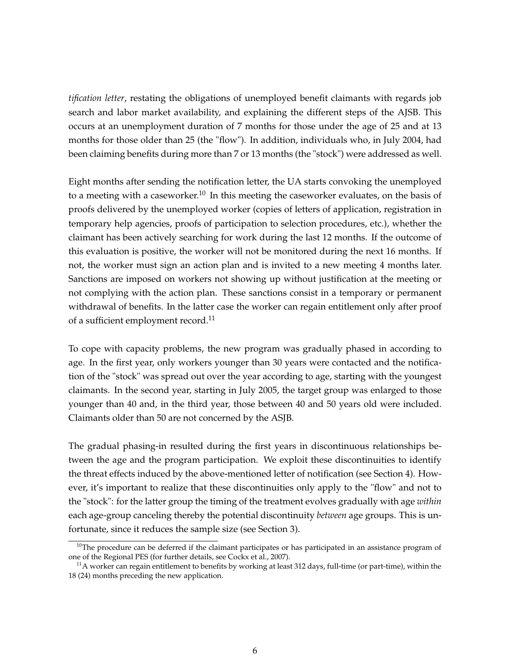*tification letter*, restating the obligations of unemployed benefit claimants with regards job search and labor market availability, and explaining the different steps of the AJSB. This occurs at an unemployment duration of 7 months for those under the age of 25 and at 13 months for those older than 25 (the "flow"). In addition, individuals who, in July 2004, had been claiming benefits during more than 7 or 13 months (the "stock") were addressed as well.

Eight months after sending the notification letter, the UA starts convoking the unemployed to a meeting with a caseworker.<sup>10</sup> In this meeting the caseworker evaluates, on the basis of proofs delivered by the unemployed worker (copies of letters of application, registration in temporary help agencies, proofs of participation to selection procedures, etc.), whether the claimant has been actively searching for work during the last 12 months. If the outcome of this evaluation is positive, the worker will not be monitored during the next 16 months. If not, the worker must sign an action plan and is invited to a new meeting 4 months later. Sanctions are imposed on workers not showing up without justification at the meeting or not complying with the action plan. These sanctions consist in a temporary or permanent withdrawal of benefits. In the latter case the worker can regain entitlement only after proof of a sufficient employment record.<sup>11</sup>

To cope with capacity problems, the new program was gradually phased in according to age. In the first year, only workers younger than 30 years were contacted and the notification of the "stock" was spread out over the year according to age, starting with the youngest claimants. In the second year, starting in July 2005, the target group was enlarged to those younger than 40 and, in the third year, those between 40 and 50 years old were included. Claimants older than 50 are not concerned by the ASJB.

The gradual phasing-in resulted during the first years in discontinuous relationships between the age and the program participation. We exploit these discontinuities to identify the threat effects induced by the above-mentioned letter of notification (see Section 4). However, it's important to realize that these discontinuities only apply to the "flow" and not to the "stock": for the latter group the timing of the treatment evolves gradually with age *within* each age-group canceling thereby the potential discontinuity *between* age groups. This is unfortunate, since it reduces the sample size (see Section 3).

 $10$ The procedure can be deferred if the claimant participates or has participated in an assistance program of one of the Regional PES (for further details, see Cockx et al., 2007).

 $11A$  worker can regain entitlement to benefits by working at least 312 days, full-time (or part-time), within the 18 (24) months preceding the new application.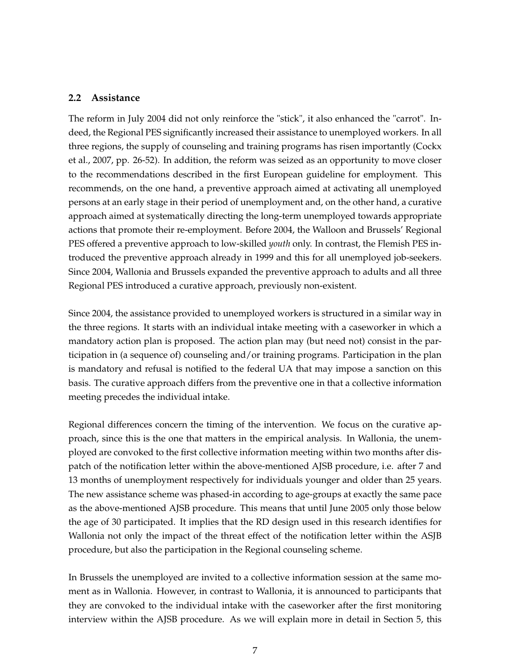#### **2.2 Assistance**

The reform in July 2004 did not only reinforce the "stick", it also enhanced the "carrot". Indeed, the Regional PES significantly increased their assistance to unemployed workers. In all three regions, the supply of counseling and training programs has risen importantly (Cockx et al., 2007, pp. 26-52). In addition, the reform was seized as an opportunity to move closer to the recommendations described in the first European guideline for employment. This recommends, on the one hand, a preventive approach aimed at activating all unemployed persons at an early stage in their period of unemployment and, on the other hand, a curative approach aimed at systematically directing the long-term unemployed towards appropriate actions that promote their re-employment. Before 2004, the Walloon and Brussels' Regional PES offered a preventive approach to low-skilled *youth* only. In contrast, the Flemish PES introduced the preventive approach already in 1999 and this for all unemployed job-seekers. Since 2004, Wallonia and Brussels expanded the preventive approach to adults and all three Regional PES introduced a curative approach, previously non-existent.

Since 2004, the assistance provided to unemployed workers is structured in a similar way in the three regions. It starts with an individual intake meeting with a caseworker in which a mandatory action plan is proposed. The action plan may (but need not) consist in the participation in (a sequence of) counseling and/or training programs. Participation in the plan is mandatory and refusal is notified to the federal UA that may impose a sanction on this basis. The curative approach differs from the preventive one in that a collective information meeting precedes the individual intake.

Regional differences concern the timing of the intervention. We focus on the curative approach, since this is the one that matters in the empirical analysis. In Wallonia, the unemployed are convoked to the first collective information meeting within two months after dispatch of the notification letter within the above-mentioned AJSB procedure, i.e. after 7 and 13 months of unemployment respectively for individuals younger and older than 25 years. The new assistance scheme was phased-in according to age-groups at exactly the same pace as the above-mentioned AJSB procedure. This means that until June 2005 only those below the age of 30 participated. It implies that the RD design used in this research identifies for Wallonia not only the impact of the threat effect of the notification letter within the ASJB procedure, but also the participation in the Regional counseling scheme.

In Brussels the unemployed are invited to a collective information session at the same moment as in Wallonia. However, in contrast to Wallonia, it is announced to participants that they are convoked to the individual intake with the caseworker after the first monitoring interview within the AJSB procedure. As we will explain more in detail in Section 5, this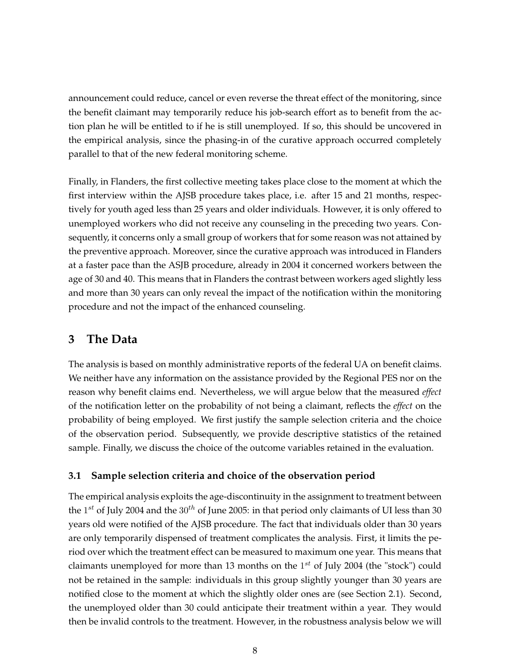announcement could reduce, cancel or even reverse the threat effect of the monitoring, since the benefit claimant may temporarily reduce his job-search effort as to benefit from the action plan he will be entitled to if he is still unemployed. If so, this should be uncovered in the empirical analysis, since the phasing-in of the curative approach occurred completely parallel to that of the new federal monitoring scheme.

Finally, in Flanders, the first collective meeting takes place close to the moment at which the first interview within the AJSB procedure takes place, i.e. after 15 and 21 months, respectively for youth aged less than 25 years and older individuals. However, it is only offered to unemployed workers who did not receive any counseling in the preceding two years. Consequently, it concerns only a small group of workers that for some reason was not attained by the preventive approach. Moreover, since the curative approach was introduced in Flanders at a faster pace than the ASJB procedure, already in 2004 it concerned workers between the age of 30 and 40. This means that in Flanders the contrast between workers aged slightly less and more than 30 years can only reveal the impact of the notification within the monitoring procedure and not the impact of the enhanced counseling.

# **3 The Data**

The analysis is based on monthly administrative reports of the federal UA on benefit claims. We neither have any information on the assistance provided by the Regional PES nor on the reason why benefit claims end. Nevertheless, we will argue below that the measured *effect* of the notification letter on the probability of not being a claimant, reflects the *effect* on the probability of being employed. We first justify the sample selection criteria and the choice of the observation period. Subsequently, we provide descriptive statistics of the retained sample. Finally, we discuss the choice of the outcome variables retained in the evaluation.

### **3.1 Sample selection criteria and choice of the observation period**

The empirical analysis exploits the age-discontinuity in the assignment to treatment between the 1<sup>st</sup> of July 2004 and the 30<sup>th</sup> of June 2005: in that period only claimants of UI less than 30 years old were notified of the AJSB procedure. The fact that individuals older than 30 years are only temporarily dispensed of treatment complicates the analysis. First, it limits the period over which the treatment effect can be measured to maximum one year. This means that claimants unemployed for more than 13 months on the  $1^{st}$  of July 2004 (the "stock") could not be retained in the sample: individuals in this group slightly younger than 30 years are notified close to the moment at which the slightly older ones are (see Section 2.1). Second, the unemployed older than 30 could anticipate their treatment within a year. They would then be invalid controls to the treatment. However, in the robustness analysis below we will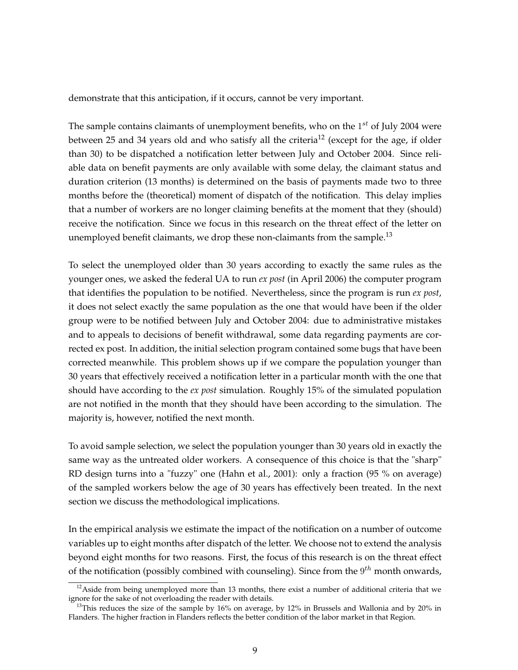demonstrate that this anticipation, if it occurs, cannot be very important.

The sample contains claimants of unemployment benefits, who on the  $1^{st}$  of July 2004 were between 25 and 34 years old and who satisfy all the criteria<sup>12</sup> (except for the age, if older than 30) to be dispatched a notification letter between July and October 2004. Since reliable data on benefit payments are only available with some delay, the claimant status and duration criterion (13 months) is determined on the basis of payments made two to three months before the (theoretical) moment of dispatch of the notification. This delay implies that a number of workers are no longer claiming benefits at the moment that they (should) receive the notification. Since we focus in this research on the threat effect of the letter on unemployed benefit claimants, we drop these non-claimants from the sample.<sup>13</sup>

To select the unemployed older than 30 years according to exactly the same rules as the younger ones, we asked the federal UA to run *ex post* (in April 2006) the computer program that identifies the population to be notified. Nevertheless, since the program is run *ex post*, it does not select exactly the same population as the one that would have been if the older group were to be notified between July and October 2004: due to administrative mistakes and to appeals to decisions of benefit withdrawal, some data regarding payments are corrected ex post. In addition, the initial selection program contained some bugs that have been corrected meanwhile. This problem shows up if we compare the population younger than 30 years that effectively received a notification letter in a particular month with the one that should have according to the *ex post* simulation. Roughly 15% of the simulated population are not notified in the month that they should have been according to the simulation. The majority is, however, notified the next month.

To avoid sample selection, we select the population younger than 30 years old in exactly the same way as the untreated older workers. A consequence of this choice is that the "sharp" RD design turns into a "fuzzy" one (Hahn et al., 2001): only a fraction (95 % on average) of the sampled workers below the age of 30 years has effectively been treated. In the next section we discuss the methodological implications.

In the empirical analysis we estimate the impact of the notification on a number of outcome variables up to eight months after dispatch of the letter. We choose not to extend the analysis beyond eight months for two reasons. First, the focus of this research is on the threat effect of the notification (possibly combined with counseling). Since from the  $9^{th}$  month onwards,

 $12$ Aside from being unemployed more than 13 months, there exist a number of additional criteria that we ignore for the sake of not overloading the reader with details.

<sup>&</sup>lt;sup>13</sup>This reduces the size of the sample by 16% on average, by 12% in Brussels and Wallonia and by 20% in Flanders. The higher fraction in Flanders reflects the better condition of the labor market in that Region.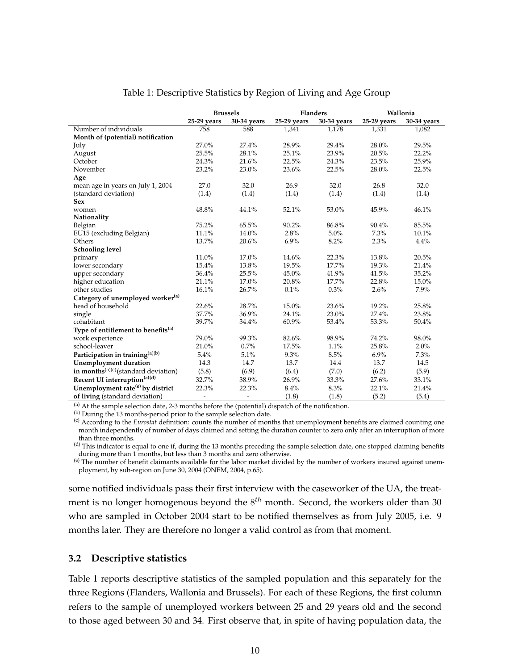|                                                | <b>Brussels</b>          |                              | <b>Flanders</b> |             | Wallonia      |             |  |
|------------------------------------------------|--------------------------|------------------------------|-----------------|-------------|---------------|-------------|--|
|                                                | 25-29 years              | 30-34 years                  | 25-29 years     | 30-34 years | $25-29$ years | 30-34 years |  |
| Number of individuals                          | 758                      | 588                          | 1,341           | 1,178       | 1,331         | 1,082       |  |
| Month of (potential) notification              |                          |                              |                 |             |               |             |  |
| July                                           | 27.0%                    | 27.4%                        | 28.9%           | 29.4%       | 28.0%         | 29.5%       |  |
| August                                         | 25.5%                    | 28.1%                        | 25.1%           | 23.9%       | 20.5%         | 22.2%       |  |
| October                                        | 24.3%                    | 21.6%                        | 22.5%           | 24.3%       | 23.5%         | 25.9%       |  |
| November                                       | 23.2%                    | 23.0%                        | 23.6%           | 22.5%       | 28.0%         | 22.5%       |  |
| Age                                            |                          |                              |                 |             |               |             |  |
| mean age in years on July 1, 2004              | 27.0                     | 32.0                         | 26.9            | 32.0        | 26.8          | 32.0        |  |
| (standard deviation)                           | (1.4)                    | (1.4)                        | (1.4)           | (1.4)       | (1.4)         | (1.4)       |  |
| <b>Sex</b>                                     |                          |                              |                 |             |               |             |  |
| women                                          | 48.8%                    | 44.1%                        | 52.1%           | 53.0%       | 45.9%         | 46.1%       |  |
| Nationality                                    |                          |                              |                 |             |               |             |  |
| Belgian                                        | 75.2%                    | 65.5%                        | 90.2%           | 86.8%       | 90.4%         | 85.5%       |  |
| EU15 (excluding Belgian)                       | 11.1%                    | 14.0%                        | 2.8%            | 5.0%        | 7.3%          | 10.1%       |  |
| Others                                         | 13.7%                    | 20.6%                        | 6.9%            | 8.2%        | 2.3%          | 4.4%        |  |
| <b>Schooling level</b>                         |                          |                              |                 |             |               |             |  |
| primary                                        | 11.0%                    | 17.0%                        | 14.6%           | 22.3%       | 13.8%         | 20.5%       |  |
| lower secondary                                | 15.4%                    | 13.8%                        | 19.5%           | 17.7%       | 19.3%         | 21.4%       |  |
| upper secondary                                | 36.4%                    | 25.5%                        | 45.0%           | 41.9%       | 41.5%         | 35.2%       |  |
| higher education                               | 21.1%                    | 17.0%                        | 20.8%           | 17.7%       | 22.8%         | 15.0%       |  |
| other studies                                  | 16.1%                    | 26.7%                        | 0.1%            | 0.3%        | 2.6%          | 7.9%        |  |
| Category of unemployed worker <sup>(a)</sup>   |                          |                              |                 |             |               |             |  |
| head of household                              | 22.6%                    | 28.7%                        | 15.0%           | 23.6%       | 19.2%         | 25.8%       |  |
| single                                         | 37.7%                    | 36.9%                        | 24.1%           | 23.0%       | 27.4%         | 23.8%       |  |
| cohabitant                                     | 39.7%                    | 34.4%                        | 60.9%           | 53.4%       | 53.3%         | 50.4%       |  |
| Type of entitlement to benefits <sup>(a)</sup> |                          |                              |                 |             |               |             |  |
| work experience                                | 79.0%                    | 99.3%                        | 82.6%           | 98.9%       | 74.2%         | 98.0%       |  |
| school-leaver                                  | 21.0%                    | 0.7%                         | 17.5%           | 1.1%        | 25.8%         | 2.0%        |  |
| Participation in training <sup>(a)(b)</sup>    | 5.4%                     | 5.1%                         | 9.3%            | 8.5%        | 6.9%          | 7.3%        |  |
| <b>Unemployment duration</b>                   | 14.3                     | 14.7                         | 13.7            | 14.4        | 13.7          | 14.5        |  |
| in months $(a)(c)$ (standard deviation)        | (5.8)                    | (6.9)                        | (6.4)           | (7.0)       | (6.2)         | (5.9)       |  |
| Recent UI interruption <sup>(a)(d)</sup>       | 32.7%                    | 38.9%                        | 26.9%           | 33.3%       | 27.6%         | 33.1%       |  |
| Unemployment rate <sup>(e)</sup> by district   | 22.3%                    | 22.3%                        | 8.4%            | 8.3%        | 22.1%         | 21.4%       |  |
| of living (standard deviation)                 | $\overline{\phantom{m}}$ | $\qquad \qquad \blacksquare$ | (1.8)           | (1.8)       | (5.2)         | (5.4)       |  |

#### Table 1: Descriptive Statistics by Region of Living and Age Group

(a) At the sample selection date, 2-3 months before the (potential) dispatch of the notification.

(b) During the 13 months-period prior to the sample selection date.

(c) According to the *Eurostat* definition: counts the number of months that unemployment benefits are claimed counting one month independently of number of days claimed and setting the duration counter to zero only after an interruption of more than three months.

(d) This indicator is equal to one if, during the 13 months preceding the sample selection date, one stopped claiming benefits during more than 1 months, but less than 3 months and zero otherwise.

(e) The number of benefit claimants available for the labor market divided by the number of workers insured against unemployment, by sub-region on June 30, 2004 (ONEM, 2004, p.65).

some notified individuals pass their first interview with the caseworker of the UA, the treatment is no longer homogenous beyond the  $8^{th}$  month. Second, the workers older than 30 who are sampled in October 2004 start to be notified themselves as from July 2005, i.e. 9 months later. They are therefore no longer a valid control as from that moment.

#### **3.2 Descriptive statistics**

Table 1 reports descriptive statistics of the sampled population and this separately for the three Regions (Flanders, Wallonia and Brussels). For each of these Regions, the first column refers to the sample of unemployed workers between 25 and 29 years old and the second to those aged between 30 and 34. First observe that, in spite of having population data, the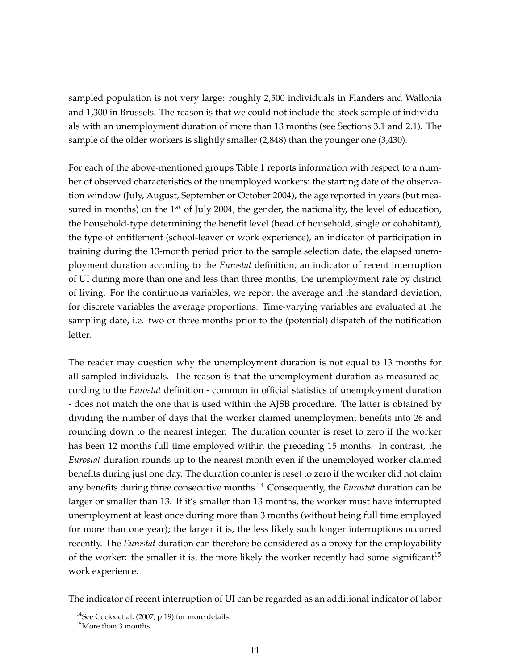sampled population is not very large: roughly 2,500 individuals in Flanders and Wallonia and 1,300 in Brussels. The reason is that we could not include the stock sample of individuals with an unemployment duration of more than 13 months (see Sections 3.1 and 2.1). The sample of the older workers is slightly smaller (2,848) than the younger one (3,430).

For each of the above-mentioned groups Table 1 reports information with respect to a number of observed characteristics of the unemployed workers: the starting date of the observation window (July, August, September or October 2004), the age reported in years (but measured in months) on the  $1^{st}$  of July 2004, the gender, the nationality, the level of education, the household-type determining the benefit level (head of household, single or cohabitant), the type of entitlement (school-leaver or work experience), an indicator of participation in training during the 13-month period prior to the sample selection date, the elapsed unemployment duration according to the *Eurostat* definition, an indicator of recent interruption of UI during more than one and less than three months, the unemployment rate by district of living. For the continuous variables, we report the average and the standard deviation, for discrete variables the average proportions. Time-varying variables are evaluated at the sampling date, i.e. two or three months prior to the (potential) dispatch of the notification letter.

The reader may question why the unemployment duration is not equal to 13 months for all sampled individuals. The reason is that the unemployment duration as measured according to the *Eurostat* definition - common in official statistics of unemployment duration - does not match the one that is used within the AJSB procedure. The latter is obtained by dividing the number of days that the worker claimed unemployment benefits into 26 and rounding down to the nearest integer. The duration counter is reset to zero if the worker has been 12 months full time employed within the preceding 15 months. In contrast, the *Eurostat* duration rounds up to the nearest month even if the unemployed worker claimed benefits during just one day. The duration counter is reset to zero if the worker did not claim any benefits during three consecutive months.<sup>14</sup> Consequently, the *Eurostat* duration can be larger or smaller than 13. If it's smaller than 13 months, the worker must have interrupted unemployment at least once during more than 3 months (without being full time employed for more than one year); the larger it is, the less likely such longer interruptions occurred recently. The *Eurostat* duration can therefore be considered as a proxy for the employability of the worker: the smaller it is, the more likely the worker recently had some significant<sup>15</sup> work experience.

The indicator of recent interruption of UI can be regarded as an additional indicator of labor

 $14$ See Cockx et al. (2007, p.19) for more details.

<sup>&</sup>lt;sup>15</sup>More than 3 months.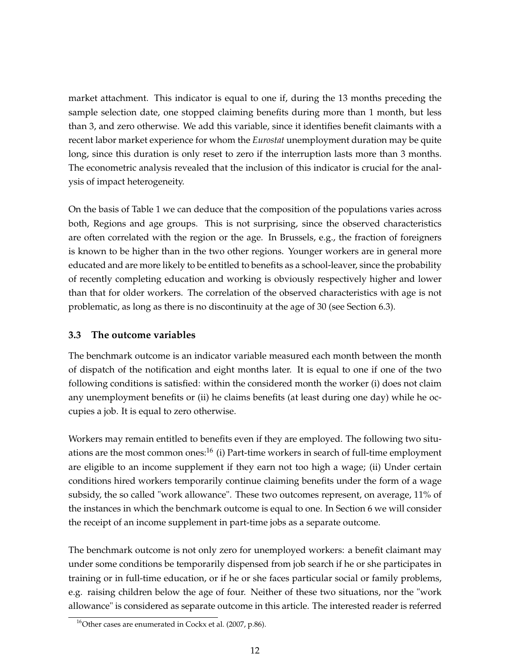market attachment. This indicator is equal to one if, during the 13 months preceding the sample selection date, one stopped claiming benefits during more than 1 month, but less than 3, and zero otherwise. We add this variable, since it identifies benefit claimants with a recent labor market experience for whom the *Eurostat* unemployment duration may be quite long, since this duration is only reset to zero if the interruption lasts more than 3 months. The econometric analysis revealed that the inclusion of this indicator is crucial for the analysis of impact heterogeneity.

On the basis of Table 1 we can deduce that the composition of the populations varies across both, Regions and age groups. This is not surprising, since the observed characteristics are often correlated with the region or the age. In Brussels, e.g., the fraction of foreigners is known to be higher than in the two other regions. Younger workers are in general more educated and are more likely to be entitled to benefits as a school-leaver, since the probability of recently completing education and working is obviously respectively higher and lower than that for older workers. The correlation of the observed characteristics with age is not problematic, as long as there is no discontinuity at the age of 30 (see Section 6.3).

### **3.3 The outcome variables**

The benchmark outcome is an indicator variable measured each month between the month of dispatch of the notification and eight months later. It is equal to one if one of the two following conditions is satisfied: within the considered month the worker (i) does not claim any unemployment benefits or (ii) he claims benefits (at least during one day) while he occupies a job. It is equal to zero otherwise.

Workers may remain entitled to benefits even if they are employed. The following two situations are the most common ones:<sup>16</sup> (i) Part-time workers in search of full-time employment are eligible to an income supplement if they earn not too high a wage; (ii) Under certain conditions hired workers temporarily continue claiming benefits under the form of a wage subsidy, the so called "work allowance". These two outcomes represent, on average, 11% of the instances in which the benchmark outcome is equal to one. In Section 6 we will consider the receipt of an income supplement in part-time jobs as a separate outcome.

The benchmark outcome is not only zero for unemployed workers: a benefit claimant may under some conditions be temporarily dispensed from job search if he or she participates in training or in full-time education, or if he or she faces particular social or family problems, e.g. raising children below the age of four. Neither of these two situations, nor the "work allowance" is considered as separate outcome in this article. The interested reader is referred

<sup>&</sup>lt;sup>16</sup>Other cases are enumerated in Cockx et al.  $(2007, p.86)$ .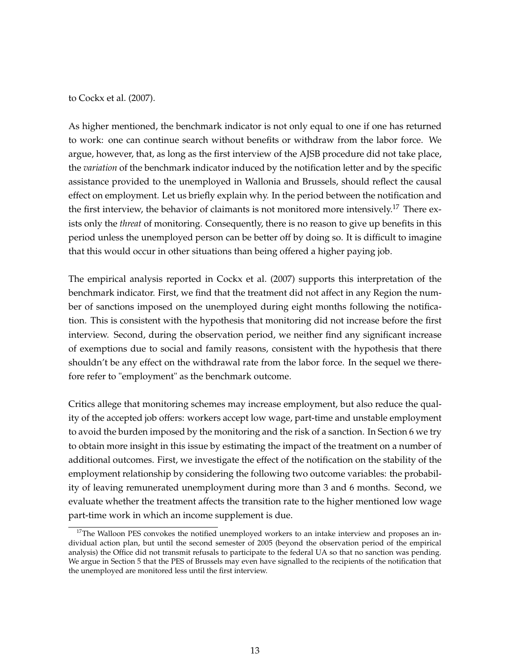to Cockx et al. (2007).

As higher mentioned, the benchmark indicator is not only equal to one if one has returned to work: one can continue search without benefits or withdraw from the labor force. We argue, however, that, as long as the first interview of the AJSB procedure did not take place, the *variation* of the benchmark indicator induced by the notification letter and by the specific assistance provided to the unemployed in Wallonia and Brussels, should reflect the causal effect on employment. Let us briefly explain why. In the period between the notification and the first interview, the behavior of claimants is not monitored more intensively.<sup>17</sup> There exists only the *threat* of monitoring. Consequently, there is no reason to give up benefits in this period unless the unemployed person can be better off by doing so. It is difficult to imagine that this would occur in other situations than being offered a higher paying job.

The empirical analysis reported in Cockx et al. (2007) supports this interpretation of the benchmark indicator. First, we find that the treatment did not affect in any Region the number of sanctions imposed on the unemployed during eight months following the notification. This is consistent with the hypothesis that monitoring did not increase before the first interview. Second, during the observation period, we neither find any significant increase of exemptions due to social and family reasons, consistent with the hypothesis that there shouldn't be any effect on the withdrawal rate from the labor force. In the sequel we therefore refer to "employment" as the benchmark outcome.

Critics allege that monitoring schemes may increase employment, but also reduce the quality of the accepted job offers: workers accept low wage, part-time and unstable employment to avoid the burden imposed by the monitoring and the risk of a sanction. In Section 6 we try to obtain more insight in this issue by estimating the impact of the treatment on a number of additional outcomes. First, we investigate the effect of the notification on the stability of the employment relationship by considering the following two outcome variables: the probability of leaving remunerated unemployment during more than 3 and 6 months. Second, we evaluate whether the treatment affects the transition rate to the higher mentioned low wage part-time work in which an income supplement is due.

<sup>&</sup>lt;sup>17</sup>The Walloon PES convokes the notified unemployed workers to an intake interview and proposes an individual action plan, but until the second semester of 2005 (beyond the observation period of the empirical analysis) the Office did not transmit refusals to participate to the federal UA so that no sanction was pending. We argue in Section 5 that the PES of Brussels may even have signalled to the recipients of the notification that the unemployed are monitored less until the first interview.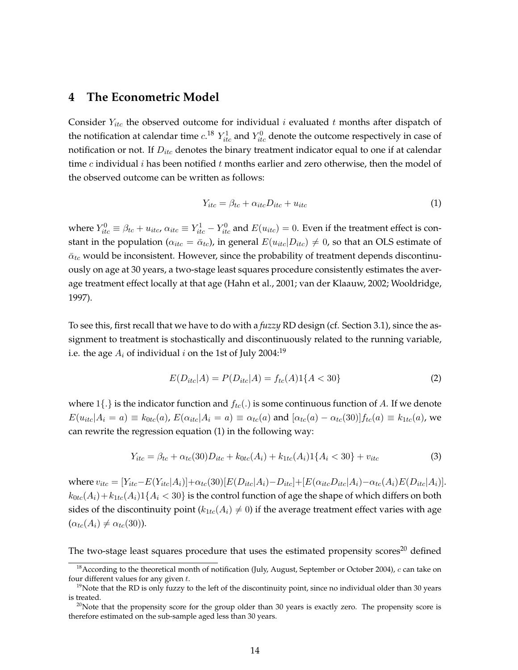### **4 The Econometric Model**

Consider  $Y_{itc}$  the observed outcome for individual i evaluated t months after dispatch of the notification at calendar time  $c^{18}$   $Y^1_{itc}$  and  $Y^0_{itc}$  denote the outcome respectively in case of notification or not. If  $D_{itc}$  denotes the binary treatment indicator equal to one if at calendar time c individual i has been notified t months earlier and zero otherwise, then the model of the observed outcome can be written as follows:

$$
Y_{itc} = \beta_{tc} + \alpha_{itc} D_{itc} + u_{itc} \tag{1}
$$

where  $Y_{itc}^0\equiv \beta_{tc}+u_{it c}, \alpha_{it c}\equiv Y_{it c}^1-Y_{it c}^0$  and  $E(u_{it c})=0.$  Even if the treatment effect is constant in the population ( $\alpha_{itc} = \bar{\alpha}_{tc}$ ), in general  $E(u_{itc}|D_{itc}) \neq 0$ , so that an OLS estimate of  $\bar{\alpha}_{tc}$  would be inconsistent. However, since the probability of treatment depends discontinuously on age at 30 years, a two-stage least squares procedure consistently estimates the average treatment effect locally at that age (Hahn et al., 2001; van der Klaauw, 2002; Wooldridge, 1997).

To see this, first recall that we have to do with a *fuzzy* RD design (cf. Section 3.1), since the assignment to treatment is stochastically and discontinuously related to the running variable, i.e. the age  $A_i$  of individual i on the 1st of July 2004:<sup>19</sup>

$$
E(D_{itc}|A) = P(D_{itc}|A) = f_{tc}(A)1\{A < 30\} \tag{2}
$$

where  $1\{\cdot\}$  is the indicator function and  $f_{tc}(\cdot)$  is some continuous function of A. If we denote  $E(u_{itc}|A_i = a) \equiv k_{0tc}(a)$ ,  $E(\alpha_{itc}|A_i = a) \equiv \alpha_{tc}(a)$  and  $[\alpha_{tc}(a) - \alpha_{tc}(30)]f_{tc}(a) \equiv k_{1tc}(a)$ , we can rewrite the regression equation (1) in the following way:

$$
Y_{itc} = \beta_{tc} + \alpha_{tc}(30)D_{itc} + k_{0tc}(A_i) + k_{1tc}(A_i)1\{A_i < 30\} + v_{itc} \tag{3}
$$

where  $v_{itc} = [Y_{itc} - E(Y_{itc}|A_i)] + \alpha_{tc}(30)[E(D_{itc}|A_i) - D_{itc}] + [E(\alpha_{itc}D_{itc}|A_i) - \alpha_{tc}(A_i)E(D_{itc}|A_i)].$  $k_{0tc}(A_i) + k_{1tc}(A_i)$  1 {  $A_i$  < 30} is the control function of age the shape of which differs on both sides of the discontinuity point ( $k_{1tc}(A_i) \neq 0$ ) if the average treatment effect varies with age  $(\alpha_{tc}(A_i) \neq \alpha_{tc}(30)).$ 

The two-stage least squares procedure that uses the estimated propensity scores<sup>20</sup> defined

<sup>&</sup>lt;sup>18</sup> According to the theoretical month of notification (July, August, September or October 2004), c can take on four different values for any given  $t$ .

 $19$ Note that the RD is only fuzzy to the left of the discontinuity point, since no individual older than 30 years is treated.

 $20$ Note that the propensity score for the group older than 30 years is exactly zero. The propensity score is therefore estimated on the sub-sample aged less than 30 years.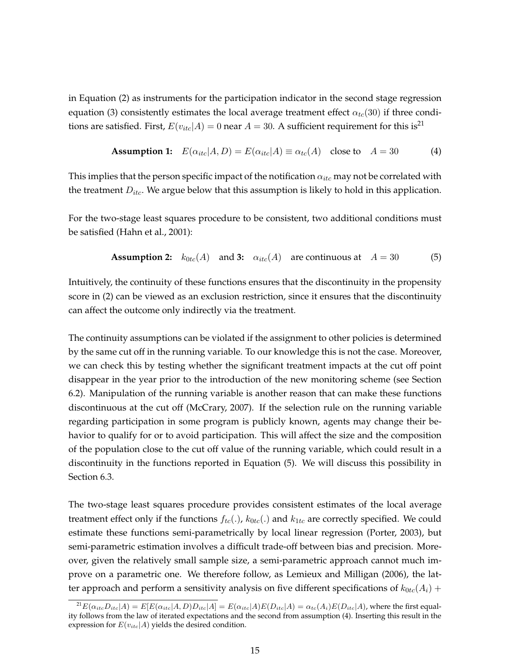in Equation (2) as instruments for the participation indicator in the second stage regression equation (3) consistently estimates the local average treatment effect  $\alpha_{tc}(30)$  if three conditions are satisfied. First,  $E(v_{itc}|A) = 0$  near  $A = 30$ . A sufficient requirement for this is<sup>21</sup>

**Assumption 1:** 
$$
E(\alpha_{itc}|A, D) = E(\alpha_{itc}|A) \equiv \alpha_{tc}(A)
$$
 close to  $A = 30$  (4)

This implies that the person specific impact of the notification  $\alpha_{itc}$  may not be correlated with the treatment  $D_{itc}$ . We argue below that this assumption is likely to hold in this application.

For the two-stage least squares procedure to be consistent, two additional conditions must be satisfied (Hahn et al., 2001):

**Assumption 2:** 
$$
k_{0tc}(A)
$$
 and **3:**  $\alpha_{itc}(A)$  are continuous at  $A = 30$  (5)

Intuitively, the continuity of these functions ensures that the discontinuity in the propensity score in (2) can be viewed as an exclusion restriction, since it ensures that the discontinuity can affect the outcome only indirectly via the treatment.

The continuity assumptions can be violated if the assignment to other policies is determined by the same cut off in the running variable. To our knowledge this is not the case. Moreover, we can check this by testing whether the significant treatment impacts at the cut off point disappear in the year prior to the introduction of the new monitoring scheme (see Section 6.2). Manipulation of the running variable is another reason that can make these functions discontinuous at the cut off (McCrary, 2007). If the selection rule on the running variable regarding participation in some program is publicly known, agents may change their behavior to qualify for or to avoid participation. This will affect the size and the composition of the population close to the cut off value of the running variable, which could result in a discontinuity in the functions reported in Equation (5). We will discuss this possibility in Section 6.3.

The two-stage least squares procedure provides consistent estimates of the local average treatment effect only if the functions  $f_{tc}(.)$ ,  $k_{0tc}(.)$  and  $k_{1tc}$  are correctly specified. We could estimate these functions semi-parametrically by local linear regression (Porter, 2003), but semi-parametric estimation involves a difficult trade-off between bias and precision. Moreover, given the relatively small sample size, a semi-parametric approach cannot much improve on a parametric one. We therefore follow, as Lemieux and Milligan (2006), the latter approach and perform a sensitivity analysis on five different specifications of  $k_{0tc}(A_i)$  +

 ${}^{21}E(\alpha_{itc}D_{itc}|A) = E[E(\alpha_{itc}|A, D)D_{itc}|A] = E(\alpha_{itc}|A)E(D_{itc}|A) = \alpha_{tc}(A_i)E(D_{itc}|A)$ , where the first equality follows from the law of iterated expectations and the second from assumption (4). Inserting this result in the expression for  $E(v_{itc}|A)$  yields the desired condition.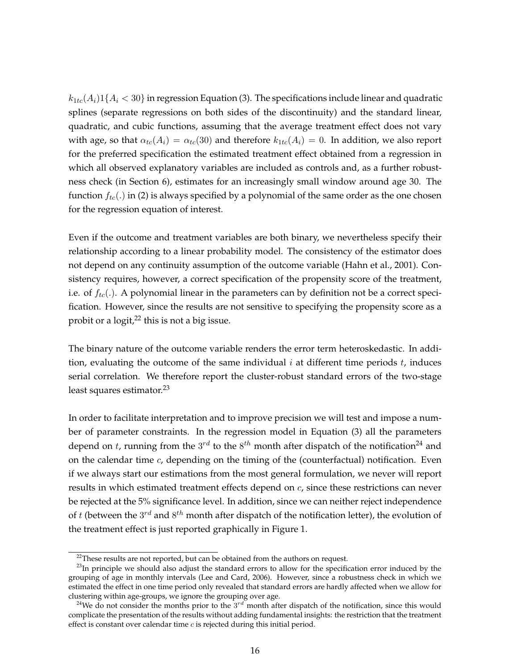$k_{1tc}(A_i)$ 1{ $A_i$  < 30} in regression Equation (3). The specifications include linear and quadratic splines (separate regressions on both sides of the discontinuity) and the standard linear, quadratic, and cubic functions, assuming that the average treatment effect does not vary with age, so that  $\alpha_{tc}(A_i) = \alpha_{tc}(30)$  and therefore  $k_{1tc}(A_i) = 0$ . In addition, we also report for the preferred specification the estimated treatment effect obtained from a regression in which all observed explanatory variables are included as controls and, as a further robustness check (in Section 6), estimates for an increasingly small window around age 30. The function  $f_{tc}$ .) in (2) is always specified by a polynomial of the same order as the one chosen for the regression equation of interest.

Even if the outcome and treatment variables are both binary, we nevertheless specify their relationship according to a linear probability model. The consistency of the estimator does not depend on any continuity assumption of the outcome variable (Hahn et al., 2001). Consistency requires, however, a correct specification of the propensity score of the treatment, i.e. of  $f_{tc}(.)$ . A polynomial linear in the parameters can by definition not be a correct specification. However, since the results are not sensitive to specifying the propensity score as a probit or a  $logit, <sup>22</sup>$  this is not a big issue.

The binary nature of the outcome variable renders the error term heteroskedastic. In addition, evaluating the outcome of the same individual  $i$  at different time periods  $t$ , induces serial correlation. We therefore report the cluster-robust standard errors of the two-stage least squares estimator.<sup>23</sup>

In order to facilitate interpretation and to improve precision we will test and impose a number of parameter constraints. In the regression model in Equation (3) all the parameters depend on t, running from the  $3^{rd}$  to the  $8^{th}$  month after dispatch of the notification<sup>24</sup> and on the calendar time  $c$ , depending on the timing of the (counterfactual) notification. Even if we always start our estimations from the most general formulation, we never will report results in which estimated treatment effects depend on c, since these restrictions can never be rejected at the 5% significance level. In addition, since we can neither reject independence of t (between the  $3^{rd}$  and  $8^{th}$  month after dispatch of the notification letter), the evolution of the treatment effect is just reported graphically in Figure 1.

 $22$ These results are not reported, but can be obtained from the authors on request.

 $^{23}$ In principle we should also adjust the standard errors to allow for the specification error induced by the grouping of age in monthly intervals (Lee and Card, 2006). However, since a robustness check in which we estimated the effect in one time period only revealed that standard errors are hardly affected when we allow for clustering within age-groups, we ignore the grouping over age.

<sup>&</sup>lt;sup>24</sup>We do not consider the months prior to the  $3^{rd}$  month after dispatch of the notification, since this would complicate the presentation of the results without adding fundamental insights: the restriction that the treatment effect is constant over calendar time  $c$  is rejected during this initial period.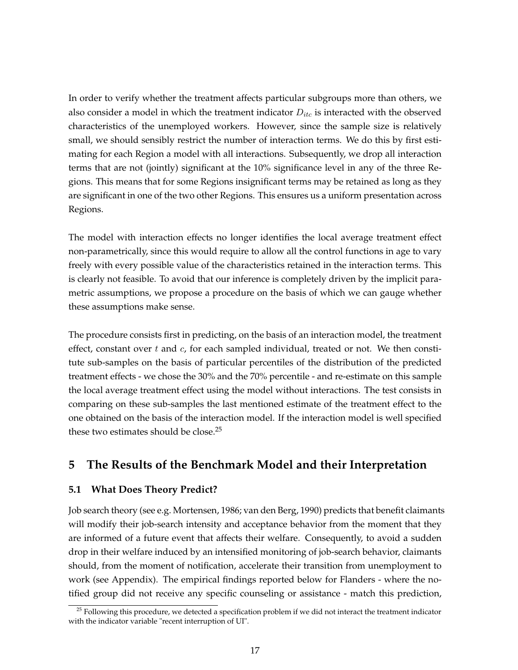In order to verify whether the treatment affects particular subgroups more than others, we also consider a model in which the treatment indicator  $D_{itc}$  is interacted with the observed characteristics of the unemployed workers. However, since the sample size is relatively small, we should sensibly restrict the number of interaction terms. We do this by first estimating for each Region a model with all interactions. Subsequently, we drop all interaction terms that are not (jointly) significant at the 10% significance level in any of the three Regions. This means that for some Regions insignificant terms may be retained as long as they are significant in one of the two other Regions. This ensures us a uniform presentation across Regions.

The model with interaction effects no longer identifies the local average treatment effect non-parametrically, since this would require to allow all the control functions in age to vary freely with every possible value of the characteristics retained in the interaction terms. This is clearly not feasible. To avoid that our inference is completely driven by the implicit parametric assumptions, we propose a procedure on the basis of which we can gauge whether these assumptions make sense.

The procedure consists first in predicting, on the basis of an interaction model, the treatment effect, constant over  $t$  and  $c$ , for each sampled individual, treated or not. We then constitute sub-samples on the basis of particular percentiles of the distribution of the predicted treatment effects - we chose the 30% and the 70% percentile - and re-estimate on this sample the local average treatment effect using the model without interactions. The test consists in comparing on these sub-samples the last mentioned estimate of the treatment effect to the one obtained on the basis of the interaction model. If the interaction model is well specified these two estimates should be close.<sup>25</sup>

# **5 The Results of the Benchmark Model and their Interpretation**

#### **5.1 What Does Theory Predict?**

Job search theory (see e.g. Mortensen, 1986; van den Berg, 1990) predicts that benefit claimants will modify their job-search intensity and acceptance behavior from the moment that they are informed of a future event that affects their welfare. Consequently, to avoid a sudden drop in their welfare induced by an intensified monitoring of job-search behavior, claimants should, from the moment of notification, accelerate their transition from unemployment to work (see Appendix). The empirical findings reported below for Flanders - where the notified group did not receive any specific counseling or assistance - match this prediction,

 $25$  Following this procedure, we detected a specification problem if we did not interact the treatment indicator with the indicator variable "recent interruption of UI".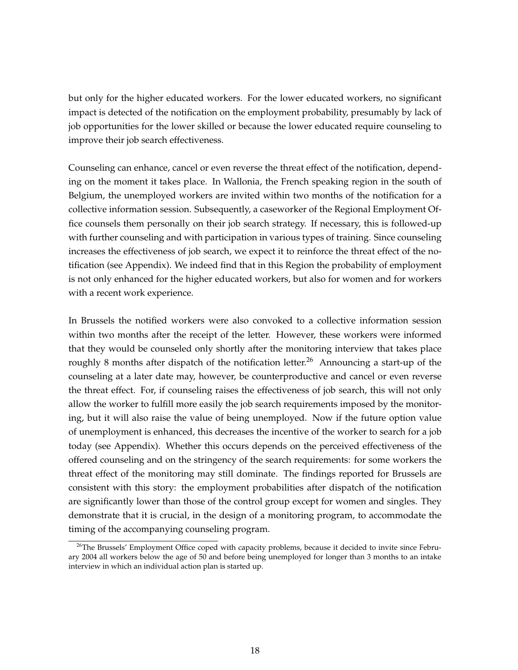but only for the higher educated workers. For the lower educated workers, no significant impact is detected of the notification on the employment probability, presumably by lack of job opportunities for the lower skilled or because the lower educated require counseling to improve their job search effectiveness.

Counseling can enhance, cancel or even reverse the threat effect of the notification, depending on the moment it takes place. In Wallonia, the French speaking region in the south of Belgium, the unemployed workers are invited within two months of the notification for a collective information session. Subsequently, a caseworker of the Regional Employment Office counsels them personally on their job search strategy. If necessary, this is followed-up with further counseling and with participation in various types of training. Since counseling increases the effectiveness of job search, we expect it to reinforce the threat effect of the notification (see Appendix). We indeed find that in this Region the probability of employment is not only enhanced for the higher educated workers, but also for women and for workers with a recent work experience.

In Brussels the notified workers were also convoked to a collective information session within two months after the receipt of the letter. However, these workers were informed that they would be counseled only shortly after the monitoring interview that takes place roughly 8 months after dispatch of the notification letter.<sup>26</sup> Announcing a start-up of the counseling at a later date may, however, be counterproductive and cancel or even reverse the threat effect. For, if counseling raises the effectiveness of job search, this will not only allow the worker to fulfill more easily the job search requirements imposed by the monitoring, but it will also raise the value of being unemployed. Now if the future option value of unemployment is enhanced, this decreases the incentive of the worker to search for a job today (see Appendix). Whether this occurs depends on the perceived effectiveness of the offered counseling and on the stringency of the search requirements: for some workers the threat effect of the monitoring may still dominate. The findings reported for Brussels are consistent with this story: the employment probabilities after dispatch of the notification are significantly lower than those of the control group except for women and singles. They demonstrate that it is crucial, in the design of a monitoring program, to accommodate the timing of the accompanying counseling program.

<sup>&</sup>lt;sup>26</sup>The Brussels' Employment Office coped with capacity problems, because it decided to invite since February 2004 all workers below the age of 50 and before being unemployed for longer than 3 months to an intake interview in which an individual action plan is started up.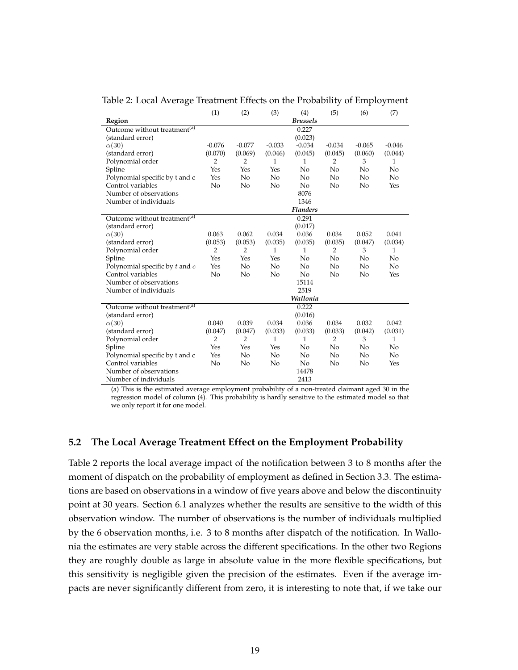Table 2: Local Average Treatment Effects on the Probability of Employment

|                                          | (1)            | (2)            | (3)      | (4)             | (5)            | (6)      | (7)      |
|------------------------------------------|----------------|----------------|----------|-----------------|----------------|----------|----------|
| Region                                   |                |                |          | <b>Brussels</b> |                |          |          |
| Outcome without treatment <sup>(a)</sup> |                |                |          | 0.227           |                |          |          |
| (standard error)                         |                |                |          | (0.023)         |                |          |          |
| $\alpha(30)$                             | $-0.076$       | $-0.077$       | $-0.033$ | $-0.034$        | $-0.034$       | $-0.065$ | $-0.046$ |
| (standard error)                         | (0.070)        | (0.069)        | (0.046)  | (0.045)         | (0.045)        | (0.060)  | (0.044)  |
| Polynomial order                         | 2              | 2              | 1        | 1               | 2              | 3        | 1        |
| Spline                                   | Yes            | Yes            | Yes      | No              | No             | No       | No       |
| Polynomial specific by t and c           | Yes            | No             | No       | No              | No             | No       | No       |
| Control variables                        | No             | No             | No       | No              | No             | No       | Yes      |
| Number of observations                   |                |                |          | 8076            |                |          |          |
| Number of individuals                    |                |                |          | 1346            |                |          |          |
|                                          |                |                |          | <b>Flanders</b> |                |          |          |
| Outcome without treatment <sup>(a)</sup> |                |                |          | 0.291           |                |          |          |
| (standard error)                         |                |                |          | (0.017)         |                |          |          |
| $\alpha(30)$                             | 0.063          | 0.062          | 0.034    | 0.036           | 0.034          | 0.052    | 0.041    |
| (standard error)                         | (0.053)        | (0.053)        | (0.035)  | (0.035)         | (0.035)        | (0.047)  | (0.034)  |
| Polynomial order                         | $\overline{2}$ | 2              | 1        | 1               | 2              | 3        | 1        |
| Spline                                   | Yes            | Yes            | Yes      | No              | No             | No       | No       |
| Polynomial specific by $t$ and $c$       | Yes            | No             | No       | No              | No             | No       | No       |
| Control variables                        | No             | No             | No       | No              | No             | No       | Yes      |
| Number of observations                   |                |                |          | 15114           |                |          |          |
| Number of individuals                    |                |                |          | 2519            |                |          |          |
|                                          |                |                |          | Wallonia        |                |          |          |
| Outcome without treatment <sup>(a)</sup> |                |                |          | 0.222           |                |          |          |
| (standard error)                         |                |                |          | (0.016)         |                |          |          |
| $\alpha(30)$                             | 0.040          | 0.039          | 0.034    | 0.036           | 0.034          | 0.032    | 0.042    |
| (standard error)                         | (0.047)        | (0.047)        | (0.033)  | (0.033)         | (0.033)        | (0.042)  | (0.031)  |
| Polynomial order                         | $\overline{2}$ | $\overline{2}$ | 1        | $\mathbf{1}$    | $\overline{2}$ | 3        | 1        |
| Spline                                   | Yes            | Yes            | Yes      | No              | No             | No       | No       |
| Polynomial specific by t and c           | Yes            | N <sub>o</sub> | No       | No              | No             | No       | No       |
| Control variables                        | No             | No             | No       | No              | No             | No       | Yes      |
| Number of observations                   |                |                |          | 14478           |                |          |          |
| Number of individuals                    |                |                |          | 2413            |                |          |          |

(a) This is the estimated average employment probability of a non-treated claimant aged 30 in the regression model of column (4). This probability is hardly sensitive to the estimated model so that we only report it for one model.

#### **5.2 The Local Average Treatment Effect on the Employment Probability**

Table 2 reports the local average impact of the notification between 3 to 8 months after the moment of dispatch on the probability of employment as defined in Section 3.3. The estimations are based on observations in a window of five years above and below the discontinuity point at 30 years. Section 6.1 analyzes whether the results are sensitive to the width of this observation window. The number of observations is the number of individuals multiplied by the 6 observation months, i.e. 3 to 8 months after dispatch of the notification. In Wallonia the estimates are very stable across the different specifications. In the other two Regions they are roughly double as large in absolute value in the more flexible specifications, but this sensitivity is negligible given the precision of the estimates. Even if the average impacts are never significantly different from zero, it is interesting to note that, if we take our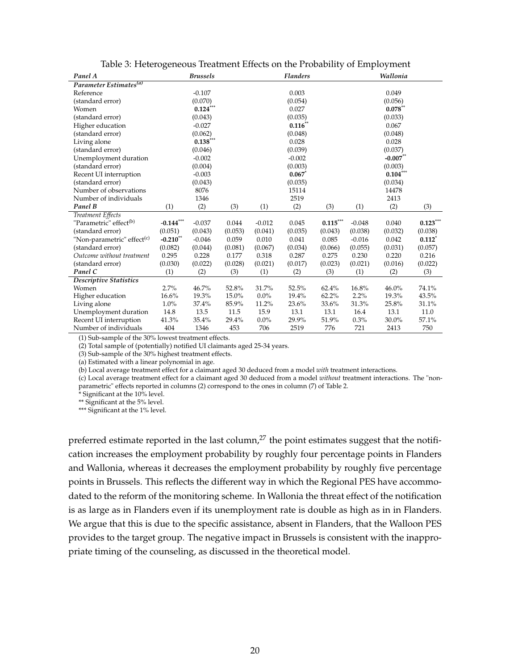| Panel A                                | <b>Brussels</b> |            |         |          | <b>Flanders</b>      |                                 |          | Wallonia     |                      |
|----------------------------------------|-----------------|------------|---------|----------|----------------------|---------------------------------|----------|--------------|----------------------|
| Parameter Estimates <sup>(a)</sup>     |                 |            |         |          |                      |                                 |          |              |                      |
| Reference                              |                 | $-0.107$   |         |          | 0.003                |                                 |          | 0.049        |                      |
| (standard error)                       |                 | (0.070)    |         |          | (0.054)              |                                 |          | (0.056)      |                      |
| Women                                  |                 | $0.124***$ |         |          | 0.027                |                                 |          | $0.078^{**}$ |                      |
| (standard error)                       |                 | (0.043)    |         |          | (0.035)              |                                 |          | (0.033)      |                      |
| Higher education                       |                 | $-0.027$   |         |          | $0.116**$            |                                 |          | 0.067        |                      |
| (standard error)                       |                 | (0.062)    |         |          | (0.048)              |                                 |          | (0.048)      |                      |
| Living alone                           |                 | $0.138***$ |         |          | 0.028                |                                 |          | 0.028        |                      |
| (standard error)                       |                 | (0.046)    |         |          | (0.039)              |                                 |          | (0.037)      |                      |
| Unemployment duration                  |                 | $-0.002$   |         |          | $-0.002$             |                                 |          | $-0.007$ **  |                      |
| (standard error)                       |                 | (0.004)    |         |          | (0.003)              |                                 |          | (0.003)      |                      |
| Recent UI interruption                 |                 | $-0.003$   |         |          | $0.067$ <sup>*</sup> |                                 |          | $0.104***$   |                      |
| (standard error)                       |                 | (0.043)    |         |          | (0.035)              |                                 |          | (0.034)      |                      |
| Number of observations                 |                 | 8076       |         |          | 15114                |                                 |          | 14478        |                      |
| Number of individuals                  |                 | 1346       |         |          | 2519                 |                                 |          | 2413         |                      |
| Panel B                                | (1)             | (2)        | (3)     | (1)      | (2)                  | (3)                             | (1)      | (2)          | (3)                  |
| Treatment Effects                      |                 |            |         |          |                      |                                 |          |              |                      |
| "Parametric" effect <sup>(b)</sup>     | $-0.144***$     | $-0.037$   | 0.044   | $-0.012$ | 0.045                | $\textbf{0.115}^{\ast\ast\ast}$ | $-0.048$ | 0.040        | $0.123***$           |
| (standard error)                       | (0.051)         | (0.043)    | (0.053) | (0.041)  | (0.035)              | (0.043)                         | (0.038)  | (0.032)      | (0.038)              |
| "Non-parametric" effect <sup>(c)</sup> | $-0.210$ **     | $-0.046$   | 0.059   | 0.010    | 0.041                | 0.085                           | $-0.016$ | 0.042        | $0.112$ <sup>*</sup> |
| (standard error)                       | (0.082)         | (0.044)    | (0.081) | (0.067)  | (0.034)              | (0.066)                         | (0.055)  | (0.031)      | (0.057)              |
| Outcome without treatment              | 0.295           | 0.228      | 0.177   | 0.318    | 0.287                | 0.275                           | 0.230    | 0.220        | 0.216                |
| (standard error)                       | (0.030)         | (0.022)    | (0.028) | (0.021)  | (0.017)              | (0.023)                         | (0.021)  | (0.016)      | (0.022)              |
| Panel C                                | (1)             | (2)        | (3)     | (1)      | (2)                  | (3)                             | (1)      | (2)          | (3)                  |
| Descriptive Statistics                 |                 |            |         |          |                      |                                 |          |              |                      |
| Women                                  | 2.7%            | 46.7%      | 52.8%   | 31.7%    | 52.5%                | 62.4%                           | 16.8%    | 46.0%        | 74.1%                |
| Higher education                       | 16.6%           | 19.3%      | 15.0%   | $0.0\%$  | 19.4%                | 62.2%                           | 2.2%     | 19.3%        | 43.5%                |
| Living alone                           | 1.0%            | 37.4%      | 85.9%   | 11.2%    | 23.6%                | 33.6%                           | 31.3%    | 25.8%        | 31.1%                |
| Unemployment duration                  | 14.8            | 13.5       | 11.5    | 15.9     | 13.1                 | 13.1                            | 16.4     | 13.1         | 11.0                 |
| Recent UI interruption                 | 41.3%           | 35.4%      | 29.4%   | $0.0\%$  | 29.9%                | 51.9%                           | 0.3%     | 30.0%        | 57.1%                |
| Number of individuals                  | 404             | 1346       | 453     | 706      | 2519                 | 776                             | 721      | 2413         | 750                  |

Table 3: Heterogeneous Treatment Effects on the Probability of Employment

(1) Sub-sample of the 30% lowest treatment effects.

(2) Total sample of (potentially) notified UI claimants aged 25-34 years.

(3) Sub-sample of the 30% highest treatment effects.

(a) Estimated with a linear polynomial in age.

(b) Local average treatment effect for a claimant aged 30 deduced from a model *with* treatment interactions.

(c) Local average treatment effect for a claimant aged 30 deduced from a model *without* treatment interactions. The "nonparametric" effects reported in columns (2) correspond to the ones in column (7) of Table 2.

\* Significant at the 10% level.

\*\* Significant at the 5% level.

\*\*\* Significant at the 1% level.

preferred estimate reported in the last column, $^{27}$  the point estimates suggest that the notification increases the employment probability by roughly four percentage points in Flanders and Wallonia, whereas it decreases the employment probability by roughly five percentage points in Brussels. This reflects the different way in which the Regional PES have accommodated to the reform of the monitoring scheme. In Wallonia the threat effect of the notification is as large as in Flanders even if its unemployment rate is double as high as in in Flanders. We argue that this is due to the specific assistance, absent in Flanders, that the Walloon PES provides to the target group. The negative impact in Brussels is consistent with the inappropriate timing of the counseling, as discussed in the theoretical model.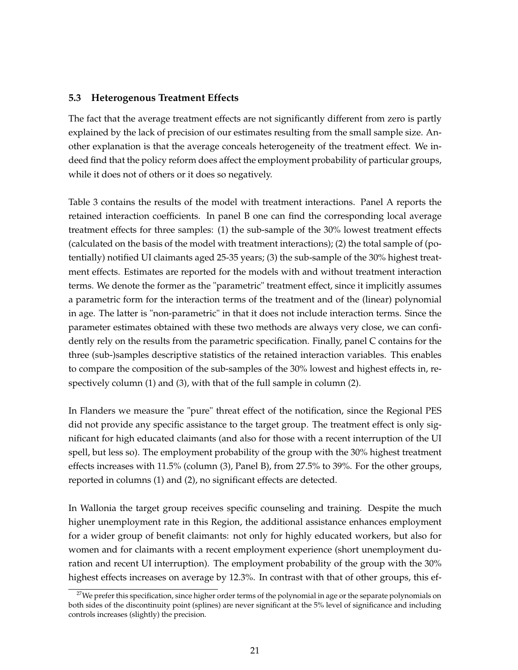#### **5.3 Heterogenous Treatment Effects**

The fact that the average treatment effects are not significantly different from zero is partly explained by the lack of precision of our estimates resulting from the small sample size. Another explanation is that the average conceals heterogeneity of the treatment effect. We indeed find that the policy reform does affect the employment probability of particular groups, while it does not of others or it does so negatively.

Table 3 contains the results of the model with treatment interactions. Panel A reports the retained interaction coefficients. In panel B one can find the corresponding local average treatment effects for three samples: (1) the sub-sample of the 30% lowest treatment effects (calculated on the basis of the model with treatment interactions); (2) the total sample of (potentially) notified UI claimants aged 25-35 years; (3) the sub-sample of the 30% highest treatment effects. Estimates are reported for the models with and without treatment interaction terms. We denote the former as the "parametric" treatment effect, since it implicitly assumes a parametric form for the interaction terms of the treatment and of the (linear) polynomial in age. The latter is "non-parametric" in that it does not include interaction terms. Since the parameter estimates obtained with these two methods are always very close, we can confidently rely on the results from the parametric specification. Finally, panel C contains for the three (sub-)samples descriptive statistics of the retained interaction variables. This enables to compare the composition of the sub-samples of the 30% lowest and highest effects in, respectively column (1) and (3), with that of the full sample in column (2).

In Flanders we measure the "pure" threat effect of the notification, since the Regional PES did not provide any specific assistance to the target group. The treatment effect is only significant for high educated claimants (and also for those with a recent interruption of the UI spell, but less so). The employment probability of the group with the 30% highest treatment effects increases with 11.5% (column (3), Panel B), from 27.5% to 39%. For the other groups, reported in columns (1) and (2), no significant effects are detected.

In Wallonia the target group receives specific counseling and training. Despite the much higher unemployment rate in this Region, the additional assistance enhances employment for a wider group of benefit claimants: not only for highly educated workers, but also for women and for claimants with a recent employment experience (short unemployment duration and recent UI interruption). The employment probability of the group with the 30% highest effects increases on average by 12.3%. In contrast with that of other groups, this ef-

 $27$ We prefer this specification, since higher order terms of the polynomial in age or the separate polynomials on both sides of the discontinuity point (splines) are never significant at the 5% level of significance and including controls increases (slightly) the precision.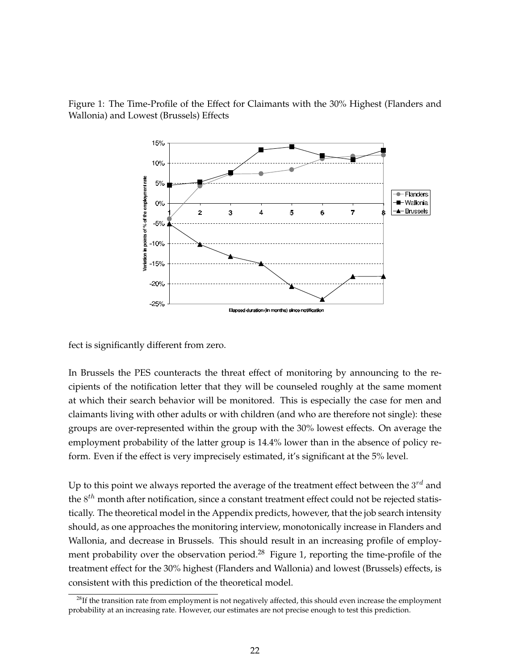

Figure 1: The Time-Profile of the Effect for Claimants with the 30% Highest (Flanders and Wallonia) and Lowest (Brussels) Effects

fect is significantly different from zero.

In Brussels the PES counteracts the threat effect of monitoring by announcing to the recipients of the notification letter that they will be counseled roughly at the same moment at which their search behavior will be monitored. This is especially the case for men and claimants living with other adults or with children (and who are therefore not single): these groups are over-represented within the group with the 30% lowest effects. On average the employment probability of the latter group is 14.4% lower than in the absence of policy reform. Even if the effect is very imprecisely estimated, it's significant at the 5% level.

Up to this point we always reported the average of the treatment effect between the  $3^{rd}$  and the  $8^{th}$  month after notification, since a constant treatment effect could not be rejected statistically. The theoretical model in the Appendix predicts, however, that the job search intensity should, as one approaches the monitoring interview, monotonically increase in Flanders and Wallonia, and decrease in Brussels. This should result in an increasing profile of employment probability over the observation period.<sup>28</sup> Figure 1, reporting the time-profile of the treatment effect for the 30% highest (Flanders and Wallonia) and lowest (Brussels) effects, is consistent with this prediction of the theoretical model.

 $^{28}$ If the transition rate from employment is not negatively affected, this should even increase the employment probability at an increasing rate. However, our estimates are not precise enough to test this prediction.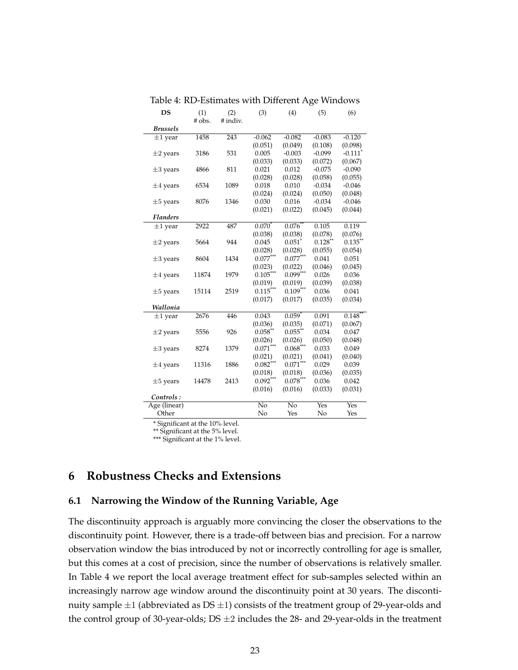| DS              | (1)    | (2)      | (3)             | (4)                | (5)       | (6)                   |
|-----------------|--------|----------|-----------------|--------------------|-----------|-----------------------|
|                 | # obs. | # indiv. |                 |                    |           |                       |
| <b>Brussels</b> |        |          |                 |                    |           |                       |
| $\pm 1$ year    | 1458   | 243      | $-0.062$        | $-0.082$           | $-0.083$  | $-0.120$              |
|                 |        |          | (0.051)         | (0.049)            | (0.108)   | (0.098)               |
| $\pm 2$ years   | 3186   | 531      | 0.005           | $-0.003$           | $-0.099$  | $-0.111$ <sup>*</sup> |
|                 |        |          | (0.033)         | (0.033)            | (0.072)   | (0.067)               |
| $\pm 3$ years   | 4866   | 811      | 0.021           | 0.012              | $-0.075$  | $-0.090$              |
|                 |        |          | (0.028)         | (0.028)            | (0.058)   | (0.055)               |
| $\pm 4$ years   | 6534   | 1089     | 0.018           | 0.010              | $-0.034$  | $-0.046$              |
|                 |        |          | (0.024)         | (0.024)            | (0.050)   | (0.048)               |
| $\pm 5$ years   | 8076   | 1346     | 0.030           | 0.016              | $-0.034$  | $-0.046$              |
|                 |        |          | (0.021)         | (0.022)            | (0.045)   | (0.044)               |
| <b>Flanders</b> |        |          |                 |                    |           |                       |
| $\pm 1$ year    | 2922   | 487      | $0.070*$        | $0.076*$           | 0.105     | 0.119                 |
|                 |        |          | (0.038)         | (0.038)            | (0.078)   | (0.076)               |
| $\pm 2$ years   | 5664   | 944      | 0.045           | $0.051*$           | $0.128**$ | $0.135***$            |
|                 |        |          | (0.028)         | (0.028)            | (0.055)   | (0.054)               |
| $\pm 3$ years   | 8604   | 1434     | $0.077^{***}$   | $0.077***$         | 0.041     | 0.051                 |
|                 |        |          | (0.023)         | (0.022)            | (0.046)   | (0.045)               |
| $\pm 4$ years   | 11874  | 1979     | $0.105***$      | $0.099***$         | 0.026     | 0.036                 |
|                 |        |          | (0.019)         | (0.019)            | (0.039)   | (0.038)               |
| $\pm 5$ years   | 15114  | 2519     | $0.115***$      | $0.109***$         | 0.036     | 0.041                 |
|                 |        |          | (0.017)         | (0.017)            | (0.035)   | (0.034)               |
| Wallonia        |        |          |                 |                    |           |                       |
| $\pm 1$ year    | 2676   | 446      | 0.043           | $0.059*$           | 0.091     | $0.148$ <sup>*</sup>  |
|                 |        |          | (0.036)         | (0.035)            | (0.071)   | (0.067)               |
| $\pm 2$ years   | 5556   | 926      | $0.058**$       | $0.055***$         | 0.034     | 0.047                 |
|                 |        |          | (0.026)         | (0.026)            | (0.050)   | (0.048)               |
| $\pm 3$ years   | 8274   | 1379     | $0.071***$      | $0.068***$         | 0.033     | 0.049                 |
|                 |        |          | (0.021)         | (0.021)            | (0.041)   | (0.040)               |
| $\pm 4$ years   | 11316  | 1886     | $0.082***$      | $0.071***$         | 0.029     | 0.039                 |
|                 |        |          | (0.018)         | (0.018)            | (0.036)   | (0.035)               |
| $\pm 5$ years   | 14478  | 2413     | $0.092***$      | $0.078^{***}$      | 0.036     | 0.042                 |
|                 |        |          | (0.016)         | (0.016)            | (0.033)   | (0.031)               |
| Controls:       |        |          |                 |                    |           |                       |
| Age (linear)    |        |          | $\overline{No}$ | $\overline{N_{0}}$ | Yes       | Yes                   |
| Other           |        |          | No              | Yes                | No        | Yes                   |

Table 4: RD-Estimates with Different Age Windows

\* Significant at the 10% level.

\*\* Significant at the 5% level.

\*\*\* Significant at the 1% level.

# **6 Robustness Checks and Extensions**

#### **6.1 Narrowing the Window of the Running Variable, Age**

The discontinuity approach is arguably more convincing the closer the observations to the discontinuity point. However, there is a trade-off between bias and precision. For a narrow observation window the bias introduced by not or incorrectly controlling for age is smaller, but this comes at a cost of precision, since the number of observations is relatively smaller. In Table 4 we report the local average treatment effect for sub-samples selected within an increasingly narrow age window around the discontinuity point at 30 years. The discontinuity sample  $\pm 1$  (abbreviated as DS  $\pm 1$ ) consists of the treatment group of 29-year-olds and the control group of 30-year-olds;  $DS \pm 2$  includes the 28- and 29-year-olds in the treatment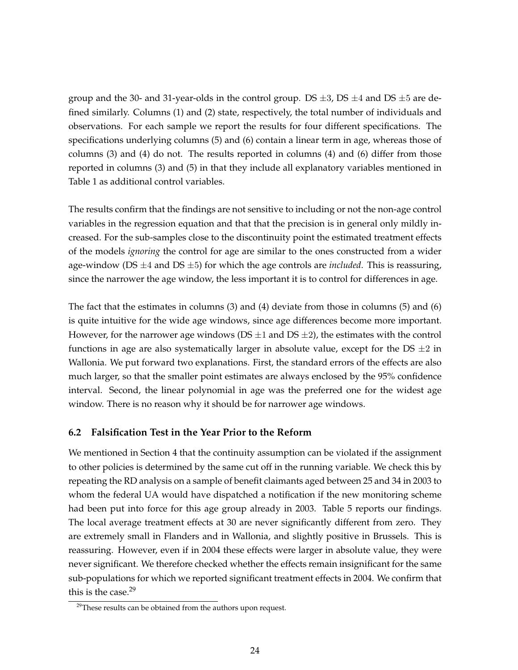group and the 30- and 31-year-olds in the control group. DS  $\pm 3$ , DS  $\pm 4$  and DS  $\pm 5$  are defined similarly. Columns (1) and (2) state, respectively, the total number of individuals and observations. For each sample we report the results for four different specifications. The specifications underlying columns (5) and (6) contain a linear term in age, whereas those of columns (3) and (4) do not. The results reported in columns (4) and (6) differ from those reported in columns (3) and (5) in that they include all explanatory variables mentioned in Table 1 as additional control variables.

The results confirm that the findings are not sensitive to including or not the non-age control variables in the regression equation and that that the precision is in general only mildly increased. For the sub-samples close to the discontinuity point the estimated treatment effects of the models *ignoring* the control for age are similar to the ones constructed from a wider age-window (DS  $\pm$ 4 and DS  $\pm$ 5) for which the age controls are *included*. This is reassuring, since the narrower the age window, the less important it is to control for differences in age.

The fact that the estimates in columns (3) and (4) deviate from those in columns (5) and (6) is quite intuitive for the wide age windows, since age differences become more important. However, for the narrower age windows (DS  $\pm$ 1 and DS  $\pm$ 2), the estimates with the control functions in age are also systematically larger in absolute value, except for the DS  $\pm 2$  in Wallonia. We put forward two explanations. First, the standard errors of the effects are also much larger, so that the smaller point estimates are always enclosed by the 95% confidence interval. Second, the linear polynomial in age was the preferred one for the widest age window. There is no reason why it should be for narrower age windows.

#### **6.2 Falsification Test in the Year Prior to the Reform**

We mentioned in Section 4 that the continuity assumption can be violated if the assignment to other policies is determined by the same cut off in the running variable. We check this by repeating the RD analysis on a sample of benefit claimants aged between 25 and 34 in 2003 to whom the federal UA would have dispatched a notification if the new monitoring scheme had been put into force for this age group already in 2003. Table 5 reports our findings. The local average treatment effects at 30 are never significantly different from zero. They are extremely small in Flanders and in Wallonia, and slightly positive in Brussels. This is reassuring. However, even if in 2004 these effects were larger in absolute value, they were never significant. We therefore checked whether the effects remain insignificant for the same sub-populations for which we reported significant treatment effects in 2004. We confirm that this is the case. $29$ 

 $29$ These results can be obtained from the authors upon request.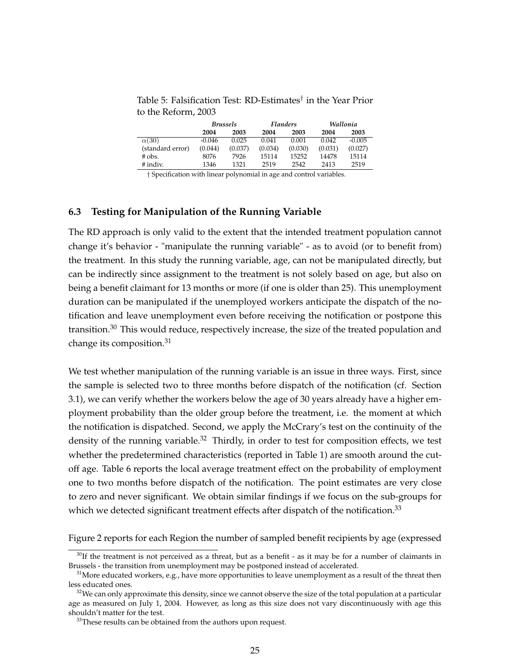Table 5: Falsification Test: RD-Estimates† in the Year Prior to the Reform, 2003

|                  | <b>Brussels</b> |         |         | Flanders | Wallonia |          |  |
|------------------|-----------------|---------|---------|----------|----------|----------|--|
|                  | 2004            | 2003    | 2004    | 2003     | 2004     | 2003     |  |
| $\alpha(30)$     | $-0.046$        | 0.025   | 0.041   | 0.001    | 0.042    | $-0.005$ |  |
| (standard error) | (0.044)         | (0.037) | (0.034) | (0.030)  | (0.031)  | (0.027)  |  |
| $#$ obs.         | 8076            | 7926    | 15114   | 15252    | 14478    | 15114    |  |
| # indiv.         | 1346            | 1321    | 2519    | 2542     | 2413     | 2519     |  |

† Specification with linear polynomial in age and control variables.

#### **6.3 Testing for Manipulation of the Running Variable**

The RD approach is only valid to the extent that the intended treatment population cannot change it's behavior - "manipulate the running variable" - as to avoid (or to benefit from) the treatment. In this study the running variable, age, can not be manipulated directly, but can be indirectly since assignment to the treatment is not solely based on age, but also on being a benefit claimant for 13 months or more (if one is older than 25). This unemployment duration can be manipulated if the unemployed workers anticipate the dispatch of the notification and leave unemployment even before receiving the notification or postpone this transition.<sup>30</sup> This would reduce, respectively increase, the size of the treated population and change its composition.<sup>31</sup>

We test whether manipulation of the running variable is an issue in three ways. First, since the sample is selected two to three months before dispatch of the notification (cf. Section 3.1), we can verify whether the workers below the age of 30 years already have a higher employment probability than the older group before the treatment, i.e. the moment at which the notification is dispatched. Second, we apply the McCrary's test on the continuity of the density of the running variable.<sup>32</sup> Thirdly, in order to test for composition effects, we test whether the predetermined characteristics (reported in Table 1) are smooth around the cutoff age. Table 6 reports the local average treatment effect on the probability of employment one to two months before dispatch of the notification. The point estimates are very close to zero and never significant. We obtain similar findings if we focus on the sub-groups for which we detected significant treatment effects after dispatch of the notification.<sup>33</sup>

Figure 2 reports for each Region the number of sampled benefit recipients by age (expressed

 $30$ If the treatment is not perceived as a threat, but as a benefit - as it may be for a number of claimants in Brussels - the transition from unemployment may be postponed instead of accelerated.

 $31$ More educated workers, e.g., have more opportunities to leave unemployment as a result of the threat then less educated ones.

 $32$ We can only approximate this density, since we cannot observe the size of the total population at a particular age as measured on July 1, 2004. However, as long as this size does not vary discontinuously with age this shouldn't matter for the test.

<sup>&</sup>lt;sup>33</sup>These results can be obtained from the authors upon request.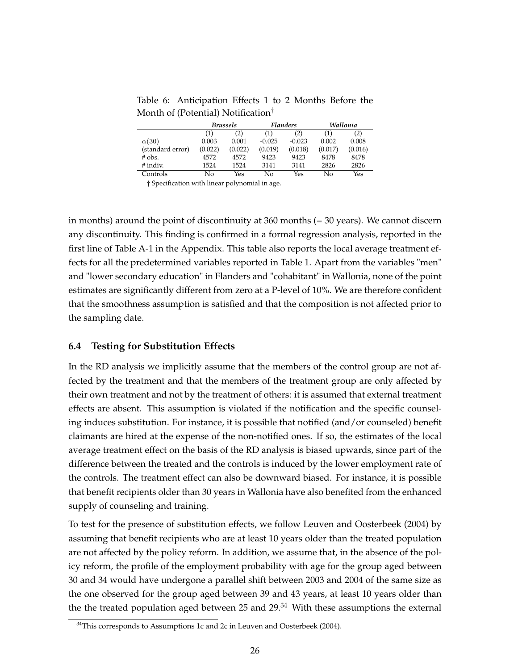Table 6: Anticipation Effects 1 to 2 Months Before the Month of (Potential) Notification†

|                  | <b>Brussels</b> |         |          | Flanders | Wallonia |         |  |
|------------------|-----------------|---------|----------|----------|----------|---------|--|
|                  | (1)             | (2)     | (1)      | (2)      | (1)      | (2)     |  |
| $\alpha(30)$     | 0.003           | 0.001   | $-0.025$ | $-0.023$ | 0.002    | 0.008   |  |
| (standard error) | (0.022)         | (0.022) | (0.019)  | (0.018)  | (0.017)  | (0.016) |  |
| $#$ obs.         | 4572            | 4572    | 9423     | 9423     | 8478     | 8478    |  |
| $#$ indiv.       | 1524            | 1524    | 3141     | 3141     | 2826     | 2826    |  |
| Controls         | Nο              | Yes     | Nο       | Yes      | No       | Yes     |  |

† Specification with linear polynomial in age.

in months) around the point of discontinuity at 360 months (= 30 years). We cannot discern any discontinuity. This finding is confirmed in a formal regression analysis, reported in the first line of Table A-1 in the Appendix. This table also reports the local average treatment effects for all the predetermined variables reported in Table 1. Apart from the variables "men" and "lower secondary education" in Flanders and "cohabitant" in Wallonia, none of the point estimates are significantly different from zero at a P-level of 10%. We are therefore confident that the smoothness assumption is satisfied and that the composition is not affected prior to the sampling date.

#### **6.4 Testing for Substitution Effects**

In the RD analysis we implicitly assume that the members of the control group are not affected by the treatment and that the members of the treatment group are only affected by their own treatment and not by the treatment of others: it is assumed that external treatment effects are absent. This assumption is violated if the notification and the specific counseling induces substitution. For instance, it is possible that notified (and/or counseled) benefit claimants are hired at the expense of the non-notified ones. If so, the estimates of the local average treatment effect on the basis of the RD analysis is biased upwards, since part of the difference between the treated and the controls is induced by the lower employment rate of the controls. The treatment effect can also be downward biased. For instance, it is possible that benefit recipients older than 30 years in Wallonia have also benefited from the enhanced supply of counseling and training.

To test for the presence of substitution effects, we follow Leuven and Oosterbeek (2004) by assuming that benefit recipients who are at least 10 years older than the treated population are not affected by the policy reform. In addition, we assume that, in the absence of the policy reform, the profile of the employment probability with age for the group aged between 30 and 34 would have undergone a parallel shift between 2003 and 2004 of the same size as the one observed for the group aged between 39 and 43 years, at least 10 years older than the the treated population aged between 25 and  $29<sup>34</sup>$  With these assumptions the external

 $34$ This corresponds to Assumptions 1c and 2c in Leuven and Oosterbeek (2004).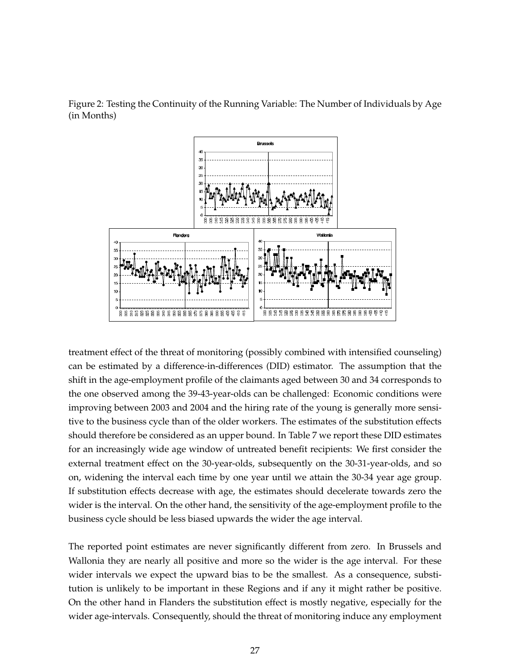

Figure 2: Testing the Continuity of the Running Variable: The Number of Individuals by Age (in Months)

treatment effect of the threat of monitoring (possibly combined with intensified counseling) can be estimated by a difference-in-differences (DID) estimator. The assumption that the shift in the age-employment profile of the claimants aged between 30 and 34 corresponds to the one observed among the 39-43-year-olds can be challenged: Economic conditions were improving between 2003 and 2004 and the hiring rate of the young is generally more sensitive to the business cycle than of the older workers. The estimates of the substitution effects should therefore be considered as an upper bound. In Table 7 we report these DID estimates for an increasingly wide age window of untreated benefit recipients: We first consider the external treatment effect on the 30-year-olds, subsequently on the 30-31-year-olds, and so on, widening the interval each time by one year until we attain the 30-34 year age group. If substitution effects decrease with age, the estimates should decelerate towards zero the wider is the interval. On the other hand, the sensitivity of the age-employment profile to the business cycle should be less biased upwards the wider the age interval.

The reported point estimates are never significantly different from zero. In Brussels and Wallonia they are nearly all positive and more so the wider is the age interval. For these wider intervals we expect the upward bias to be the smallest. As a consequence, substitution is unlikely to be important in these Regions and if any it might rather be positive. On the other hand in Flanders the substitution effect is mostly negative, especially for the wider age-intervals. Consequently, should the threat of monitoring induce any employment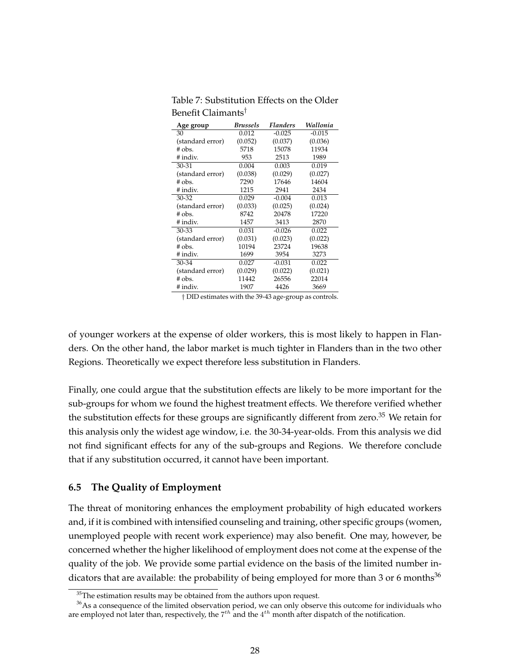| Age group        | <b>Brussels</b> | <b>Flanders</b> | Wallonia |
|------------------|-----------------|-----------------|----------|
| 30               | 0.012           | $-0.025$        | $-0.015$ |
| (standard error) | (0.052)         | (0.037)         | (0.036)  |
| $#$ obs.         | 5718            | 15078           | 11934    |
| # indiv.         | 953             | 2513            | 1989     |
| $30 - 31$        | 0.004           | 0.003           | 0.019    |
| (standard error) | (0.038)         | (0.029)         | (0.027)  |
| $#$ obs.         | 7290            | 17646           | 14604    |
| # indiv.         | 1215            | 2941            | 2434     |
| $30 - 32$        | 0.029           | $-0.004$        | 0.013    |
| (standard error) | (0.033)         | (0.025)         | (0.024)  |
| # obs.           | 8742            | 20478           | 17220    |
| # indiv.         | 1457            | 3413            | 2870     |
| $30 - 33$        | 0.031           | $-0.026$        | 0.022    |
| (standard error) | (0.031)         | (0.023)         | (0.022)  |
| # obs.           | 10194           | 23724           | 19638    |
| # indiv.         | 1699            | 3954            | 3273     |
| 30-34            | 0.027           | $-0.031$        | 0.022    |
| (standard error) | (0.029)         | (0.022)         | (0.021)  |
| # obs.           | 11442           | 26556           | 22014    |
| # indiv.         | 1907            | 4426            | 3669     |

Table 7: Substitution Effects on the Older Benefit Claimants†

† DID estimates with the 39-43 age-group as controls.

of younger workers at the expense of older workers, this is most likely to happen in Flanders. On the other hand, the labor market is much tighter in Flanders than in the two other Regions. Theoretically we expect therefore less substitution in Flanders.

Finally, one could argue that the substitution effects are likely to be more important for the sub-groups for whom we found the highest treatment effects. We therefore verified whether the substitution effects for these groups are significantly different from zero.<sup>35</sup> We retain for this analysis only the widest age window, i.e. the 30-34-year-olds. From this analysis we did not find significant effects for any of the sub-groups and Regions. We therefore conclude that if any substitution occurred, it cannot have been important.

#### **6.5 The Quality of Employment**

The threat of monitoring enhances the employment probability of high educated workers and, if it is combined with intensified counseling and training, other specific groups (women, unemployed people with recent work experience) may also benefit. One may, however, be concerned whether the higher likelihood of employment does not come at the expense of the quality of the job. We provide some partial evidence on the basis of the limited number indicators that are available: the probability of being employed for more than 3 or 6 months<sup>36</sup>

 $35$ The estimation results may be obtained from the authors upon request.

 $36$ As a consequence of the limited observation period, we can only observe this outcome for individuals who are employed not later than, respectively, the  $7^{th}$  and the  $4^{th}$  month after dispatch of the notification.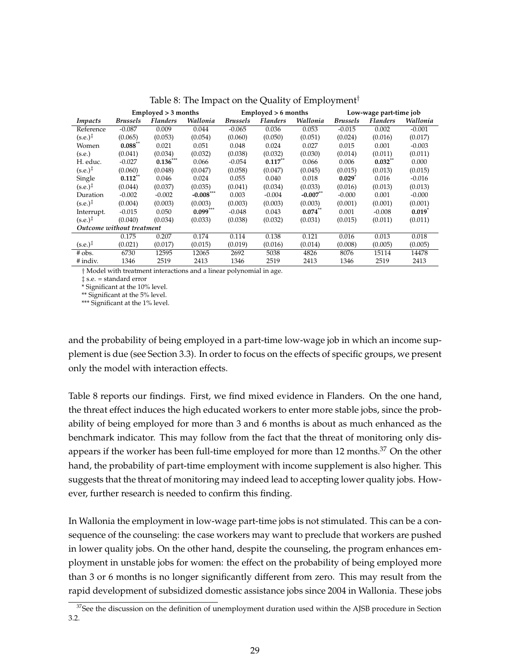|                           | Emploved > 3 months |                 |             |                 | $Emploved > 6$ months |            | Low-wage part-time job |                 |          |
|---------------------------|---------------------|-----------------|-------------|-----------------|-----------------------|------------|------------------------|-----------------|----------|
| Impacts                   | <b>Brussels</b>     | <b>Flanders</b> | Wallonia    | <b>Brussels</b> | <b>Flanders</b>       | Wallonia   | <b>Brussels</b>        | <b>Flanders</b> | Wallonia |
| Reference                 | $-0.087$            | 0.009           | 0.044       | $-0.065$        | 0.036                 | 0.053      | $-0.015$               | 0.002           | $-0.001$ |
| $(s.e.)^{\ddagger}$       | (0.065)             | (0.053)         | (0.054)     | (0.060)         | (0.050)               | (0.051)    | (0.024)                | (0.016)         | (0.017)  |
| Women                     | $0.088**$           | 0.021           | 0.051       | 0.048           | 0.024                 | 0.027      | 0.015                  | 0.001           | $-0.003$ |
| (s.e.)                    | (0.041)             | (0.034)         | (0.032)     | (0.038)         | (0.032)               | (0.030)    | (0.014)                | (0.011)         | (0.011)  |
| H. educ.                  | $-0.027$            | $0.136***$      | 0.066       | $-0.054$        | $0.117***$            | 0.066      | 0.006                  | $0.032***$      | 0.000    |
| $(s.e.)^{\ddagger}$       | (0.060)             | (0.048)         | (0.047)     | (0.058)         | (0.047)               | (0.045)    | (0.015)                | (0.013)         | (0.015)  |
| Single                    | $0.112**$           | 0.046           | 0.024       | 0.055           | 0.040                 | 0.018      | $0.029$ <sup>*</sup>   | 0.016           | $-0.016$ |
| $(s.e.)^{\ddagger}$       | (0.044)             | (0.037)         | (0.035)     | (0.041)         | (0.034)               | (0.033)    | (0.016)                | (0.013)         | (0.013)  |
| Duration                  | $-0.002$            | $-0.002$        | $-0.008***$ | 0.003           | $-0.004$              | $-0.007**$ | $-0.000$               | 0.001           | $-0.000$ |
| $(s.e.)^{\ddagger}$       | (0.004)             | (0.003)         | (0.003)     | (0.003)         | (0.003)               | (0.003)    | (0.001)                | (0.001)         | (0.001)  |
| Interrupt.                | $-0.015$            | 0.050           | $0.099***$  | $-0.048$        | 0.043                 | $0.074$ ** | 0.001                  | $-0.008$        | 0.019    |
| $(s.e.)^{\ddagger}$       | (0.040)             | (0.034)         | (0.033)     | (0.038)         | (0.032)               | (0.031)    | (0.015)                | (0.011)         | (0.011)  |
| Outcome without treatment |                     |                 |             |                 |                       |            |                        |                 |          |
|                           | 0.175               | 0.207           | 0.174       | 0.114           | 0.138                 | 0.121      | 0.016                  | 0.013           | 0.018    |
| $(s.e.)^{\ddagger}$       | (0.021)             | (0.017)         | (0.015)     | (0.019)         | (0.016)               | (0.014)    | (0.008)                | (0.005)         | (0.005)  |
| $#$ obs.                  | 6730                | 12595           | 12065       | 2692            | 5038                  | 4826       | 8076                   | 15114           | 14478    |
| # indiv.                  | 1346                | 2519            | 2413        | 1346            | 2519                  | 2413       | 1346                   | 2519            | 2413     |

Table 8: The Impact on the Quality of Employment†

† Model with treatment interactions and a linear polynomial in age.

‡ s.e. = standard error

\* Significant at the 10% level.

\*\* Significant at the 5% level.

\*\*\* Significant at the 1% level.

and the probability of being employed in a part-time low-wage job in which an income supplement is due (see Section 3.3). In order to focus on the effects of specific groups, we present only the model with interaction effects.

Table 8 reports our findings. First, we find mixed evidence in Flanders. On the one hand, the threat effect induces the high educated workers to enter more stable jobs, since the probability of being employed for more than 3 and 6 months is about as much enhanced as the benchmark indicator. This may follow from the fact that the threat of monitoring only disappears if the worker has been full-time employed for more than 12 months.<sup>37</sup> On the other hand, the probability of part-time employment with income supplement is also higher. This suggests that the threat of monitoring may indeed lead to accepting lower quality jobs. However, further research is needed to confirm this finding.

In Wallonia the employment in low-wage part-time jobs is not stimulated. This can be a consequence of the counseling: the case workers may want to preclude that workers are pushed in lower quality jobs. On the other hand, despite the counseling, the program enhances employment in unstable jobs for women: the effect on the probability of being employed more than 3 or 6 months is no longer significantly different from zero. This may result from the rapid development of subsidized domestic assistance jobs since 2004 in Wallonia. These jobs

 $37$ See the discussion on the definition of unemployment duration used within the AJSB procedure in Section 3.2.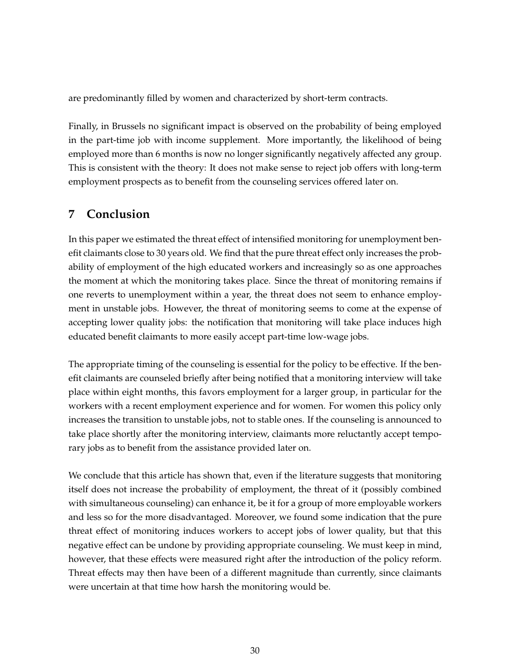are predominantly filled by women and characterized by short-term contracts.

Finally, in Brussels no significant impact is observed on the probability of being employed in the part-time job with income supplement. More importantly, the likelihood of being employed more than 6 months is now no longer significantly negatively affected any group. This is consistent with the theory: It does not make sense to reject job offers with long-term employment prospects as to benefit from the counseling services offered later on.

# **7 Conclusion**

In this paper we estimated the threat effect of intensified monitoring for unemployment benefit claimants close to 30 years old. We find that the pure threat effect only increases the probability of employment of the high educated workers and increasingly so as one approaches the moment at which the monitoring takes place. Since the threat of monitoring remains if one reverts to unemployment within a year, the threat does not seem to enhance employment in unstable jobs. However, the threat of monitoring seems to come at the expense of accepting lower quality jobs: the notification that monitoring will take place induces high educated benefit claimants to more easily accept part-time low-wage jobs.

The appropriate timing of the counseling is essential for the policy to be effective. If the benefit claimants are counseled briefly after being notified that a monitoring interview will take place within eight months, this favors employment for a larger group, in particular for the workers with a recent employment experience and for women. For women this policy only increases the transition to unstable jobs, not to stable ones. If the counseling is announced to take place shortly after the monitoring interview, claimants more reluctantly accept temporary jobs as to benefit from the assistance provided later on.

We conclude that this article has shown that, even if the literature suggests that monitoring itself does not increase the probability of employment, the threat of it (possibly combined with simultaneous counseling) can enhance it, be it for a group of more employable workers and less so for the more disadvantaged. Moreover, we found some indication that the pure threat effect of monitoring induces workers to accept jobs of lower quality, but that this negative effect can be undone by providing appropriate counseling. We must keep in mind, however, that these effects were measured right after the introduction of the policy reform. Threat effects may then have been of a different magnitude than currently, since claimants were uncertain at that time how harsh the monitoring would be.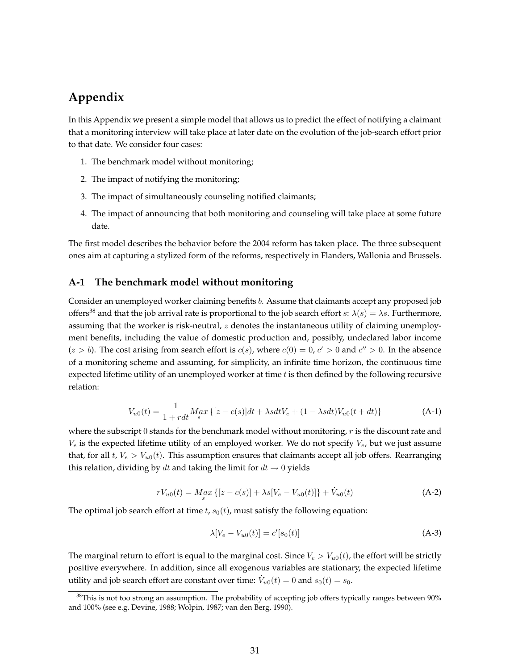# **Appendix**

In this Appendix we present a simple model that allows us to predict the effect of notifying a claimant that a monitoring interview will take place at later date on the evolution of the job-search effort prior to that date. We consider four cases:

- 1. The benchmark model without monitoring;
- 2. The impact of notifying the monitoring;
- 3. The impact of simultaneously counseling notified claimants;
- 4. The impact of announcing that both monitoring and counseling will take place at some future date.

The first model describes the behavior before the 2004 reform has taken place. The three subsequent ones aim at capturing a stylized form of the reforms, respectively in Flanders, Wallonia and Brussels.

#### **A-1 The benchmark model without monitoring**

Consider an unemployed worker claiming benefits b. Assume that claimants accept any proposed job offers<sup>38</sup> and that the job arrival rate is proportional to the job search effort  $s: \lambda(s) = \lambda s$ . Furthermore, assuming that the worker is risk-neutral,  $z$  denotes the instantaneous utility of claiming unemployment benefits, including the value of domestic production and, possibly, undeclared labor income  $(z > b)$ . The cost arising from search effort is  $c(s)$ , where  $c(0) = 0$ ,  $c' > 0$  and  $c'' > 0$ . In the absence of a monitoring scheme and assuming, for simplicity, an infinite time horizon, the continuous time expected lifetime utility of an unemployed worker at time  $t$  is then defined by the following recursive relation:

$$
V_{u0}(t) = \frac{1}{1 + rdt} M_{sx} \{ [z - c(s)]dt + \lambda sdt V_e + (1 - \lambda sdt) V_{u0}(t + dt) \}
$$
 (A-1)

where the subscript 0 stands for the benchmark model without monitoring,  $r$  is the discount rate and  $V_e$  is the expected lifetime utility of an employed worker. We do not specify  $V_e$ , but we just assume that, for all t,  $V_e > V_{u0}(t)$ . This assumption ensures that claimants accept all job offers. Rearranging this relation, dividing by dt and taking the limit for  $dt \to 0$  yields

$$
rV_{u0}(t) = M_a x \{ [z - c(s)] + \lambda s [V_e - V_{u0}(t)] \} + \dot{V}_{u0}(t)
$$
\n(A-2)

The optimal job search effort at time  $t$ ,  $s<sub>0</sub>(t)$ , must satisfy the following equation:

$$
\lambda[V_e - V_{u0}(t)] = c'[s_0(t)] \tag{A-3}
$$

The marginal return to effort is equal to the marginal cost. Since  $V_e > V_{u0}(t)$ , the effort will be strictly positive everywhere. In addition, since all exogenous variables are stationary, the expected lifetime utility and job search effort are constant over time:  $\dot{V}_{u0}(t)=0$  and  $s_0(t)=s_0$ .

<sup>&</sup>lt;sup>38</sup>This is not too strong an assumption. The probability of accepting job offers typically ranges between 90% and 100% (see e.g. Devine, 1988; Wolpin, 1987; van den Berg, 1990).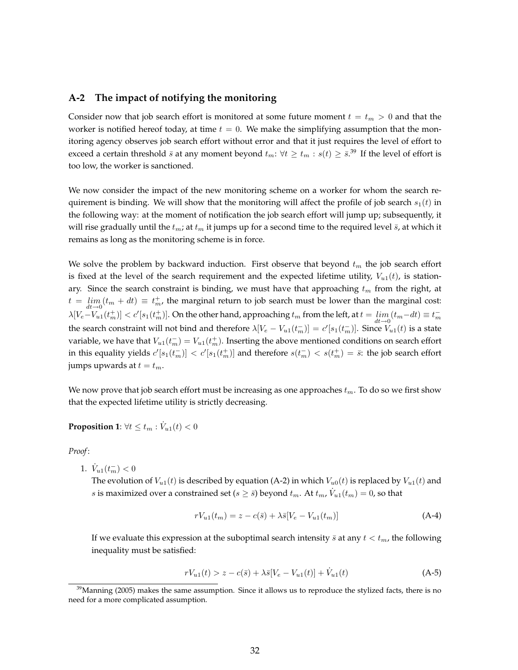#### **A-2 The impact of notifying the monitoring**

Consider now that job search effort is monitored at some future moment  $t = t_m > 0$  and that the worker is notified hereof today, at time  $t = 0$ . We make the simplifying assumption that the monitoring agency observes job search effort without error and that it just requires the level of effort to exceed a certain threshold  $\bar{s}$  at any moment beyond  $t_m: \forall t \geq t_m : s(t) \geq \bar{s}$ .<sup>39</sup> If the level of effort is too low, the worker is sanctioned.

We now consider the impact of the new monitoring scheme on a worker for whom the search requirement is binding. We will show that the monitoring will affect the profile of job search  $s_1(t)$  in the following way: at the moment of notification the job search effort will jump up; subsequently, it will rise gradually until the  $t_m$ ; at  $t_m$  it jumps up for a second time to the required level  $\bar{s}$ , at which it remains as long as the monitoring scheme is in force.

We solve the problem by backward induction. First observe that beyond  $t<sub>m</sub>$  the job search effort is fixed at the level of the search requirement and the expected lifetime utility,  $V_{u1}(t)$ , is stationary. Since the search constraint is binding, we must have that approaching  $t_m$  from the right, at  $t = \lim_{dt \to 0} (t_m + dt) \equiv t_m^+$ , the marginal return to job search must be lower than the marginal cost:  $\lambda[V_{e}-V_{u1}(t_m^+)] < c'[s_1(t_m^+)]$ . On the other hand, approaching  $t_m$  from the left, at  $t=\lim_{dt\to 0}(t_m-dt)\equiv t_m^$ the search constraint will not bind and therefore  $\lambda[V_e-V_{u1}(t_m^-)]=c'[s_1(t_m^-)]$ . Since  $V_{u1}(t)$  is a state variable, we have that  $V_{u1}(t_m^-)=V_{u1}(t_m^+).$  Inserting the above mentioned conditions on search effort in this equality yields  $c'[s_1(t_m^-)] < c'[s_1(t_m^+)]$  and therefore  $s(t_m^-) < s(t_m^+) = \bar{s}$ : the job search effort jumps upwards at  $t = t_m$ .

We now prove that job search effort must be increasing as one approaches  $t_m$ . To do so we first show that the expected lifetime utility is strictly decreasing.

**Proposition 1**:  $\forall t \leq t_m : \dot{V}_{u1}(t) < 0$ 

*Proof*:

1.  $\dot{V}_{u1}(t_m^-) < 0$ 

The evolution of  $V_{u1}(t)$  is described by equation (A-2) in which  $V_{u0}(t)$  is replaced by  $V_{u1}(t)$  and s is maximized over a constrained set ( $s \geq \bar{s}$ ) beyond  $t_m$ . At  $t_m$ ,  $\dot{V}_{u1}(t_m) = 0$ , so that

$$
rV_{u1}(t_m) = z - c(\bar{s}) + \lambda \bar{s}[V_e - V_{u1}(t_m)]
$$
\n(A-4)

If we evaluate this expression at the suboptimal search intensity  $\bar{s}$  at any  $t < t_m$ , the following inequality must be satisfied:

$$
rV_{u1}(t) > z - c(\bar{s}) + \lambda \bar{s}[V_e - V_{u1}(t)] + \dot{V}_{u1}(t)
$$
\n(A-5)

 $39$ Manning (2005) makes the same assumption. Since it allows us to reproduce the stylized facts, there is no need for a more complicated assumption.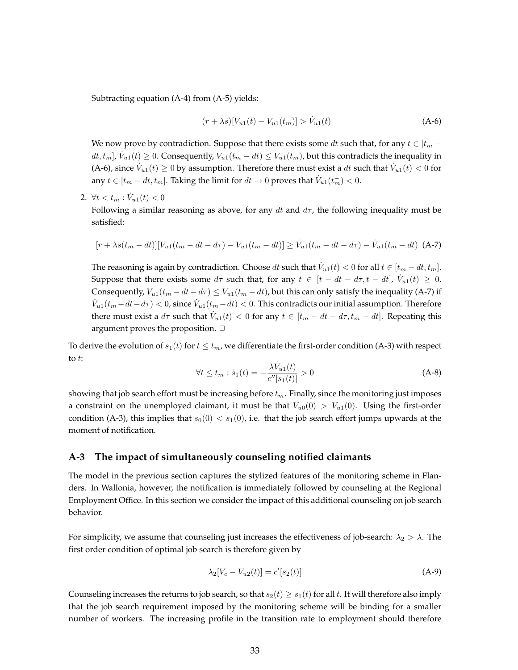Subtracting equation (A-4) from (A-5) yields:

$$
(r + \lambda \bar{s})[V_{u1}(t) - V_{u1}(t_m)] > \dot{V}_{u1}(t)
$$
\n(A-6)

We now prove by contradiction. Suppose that there exists some dt such that, for any  $t \in [t_m$  $dt, t_m$ ],  $\dot{V}_{u1}(t) \geq 0$ . Consequently,  $V_{u1}(t_m - dt) \leq V_{u1}(t_m)$ , but this contradicts the inequality in (A-6), since  $\dot{V}_{u1}(t) \ge 0$  by assumption. Therefore there must exist a dt such that  $\dot{V}_{u1}(t) < 0$  for any  $t \in [t_m - dt, t_m]$ . Taking the limit for  $dt \to 0$  proves that  $\dot{V}_{u1}(t_m^-) < 0$ .

2.  $\forall t < t_m : \dot{V}_{u1}(t) < 0$ 

Following a similar reasoning as above, for any dt and  $d\tau$ , the following inequality must be satisfied:

$$
[r + \lambda s(t_m - dt)][V_{u1}(t_m - dt - d\tau) - V_{u1}(t_m - dt)] \ge \dot{V}_{u1}(t_m - dt - d\tau) - \dot{V}_{u1}(t_m - dt)
$$
 (A-7)

The reasoning is again by contradiction. Choose  $dt$  such that  $\dot{V}_{u1}(t) < 0$  for all  $t \in [t_m - dt, t_m]$ . Suppose that there exists some  $d\tau$  such that, for any  $t \in [t - dt - d\tau, t - dt]$ ,  $\dot{V}_{u1}(t) \geq 0$ . Consequently,  $V_{u1}(t_m - dt - d\tau) \leq V_{u1}(t_m - dt)$ , but this can only satisfy the inequality (A-7) if  $\dot{V}_{u1}(t_m-dt-d\tau) < 0$ , since  $\dot{V}_{u1}(t_m-dt) < 0$ . This contradicts our initial assumption. Therefore there must exist a  $d\tau$  such that  $\dot{V}_{u1}(t) < 0$  for any  $t \in [t_m - dt - d\tau, t_m - dt]$ . Repeating this argument proves the proposition.  $\Box$ 

To derive the evolution of  $s_1(t)$  for  $t \leq t_m$ , we differentiate the first-order condition (A-3) with respect to t:

$$
\forall t \le t_m : \dot{s}_1(t) = -\frac{\lambda \dot{V}_{u1}(t)}{c''[s_1(t)]} > 0 \tag{A-8}
$$

showing that job search effort must be increasing before  $t_m$ . Finally, since the monitoring just imposes a constraint on the unemployed claimant, it must be that  $V_{u0}(0) > V_{u1}(0)$ . Using the first-order condition (A-3), this implies that  $s_0(0) < s_1(0)$ , i.e. that the job search effort jumps upwards at the moment of notification.

#### **A-3 The impact of simultaneously counseling notified claimants**

The model in the previous section captures the stylized features of the monitoring scheme in Flanders. In Wallonia, however, the notification is immediately followed by counseling at the Regional Employment Office. In this section we consider the impact of this additional counseling on job search behavior.

For simplicity, we assume that counseling just increases the effectiveness of job-search:  $\lambda_2 > \lambda$ . The first order condition of optimal job search is therefore given by

$$
\lambda_2[V_e - V_{u2}(t)] = c'[s_2(t)] \tag{A-9}
$$

Counseling increases the returns to job search, so that  $s_2(t) \geq s_1(t)$  for all t. It will therefore also imply that the job search requirement imposed by the monitoring scheme will be binding for a smaller number of workers. The increasing profile in the transition rate to employment should therefore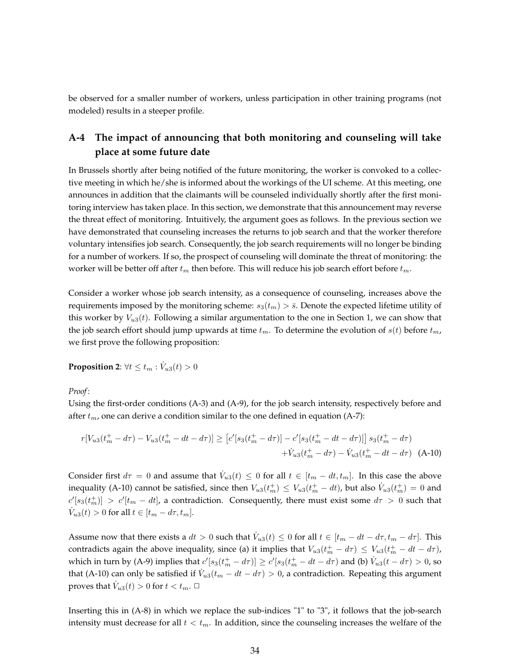be observed for a smaller number of workers, unless participation in other training programs (not modeled) results in a steeper profile.

### **A-4 The impact of announcing that both monitoring and counseling will take place at some future date**

In Brussels shortly after being notified of the future monitoring, the worker is convoked to a collective meeting in which he/she is informed about the workings of the UI scheme. At this meeting, one announces in addition that the claimants will be counseled individually shortly after the first monitoring interview has taken place. In this section, we demonstrate that this announcement may reverse the threat effect of monitoring. Intuitively, the argument goes as follows. In the previous section we have demonstrated that counseling increases the returns to job search and that the worker therefore voluntary intensifies job search. Consequently, the job search requirements will no longer be binding for a number of workers. If so, the prospect of counseling will dominate the threat of monitoring: the worker will be better off after  $t_m$  then before. This will reduce his job search effort before  $t_m$ .

Consider a worker whose job search intensity, as a consequence of counseling, increases above the requirements imposed by the monitoring scheme:  $s_3(t_m) > \bar{s}$ . Denote the expected lifetime utility of this worker by  $V_{u3}(t)$ . Following a similar argumentation to the one in Section 1, we can show that the job search effort should jump upwards at time  $t_m$ . To determine the evolution of  $s(t)$  before  $t_m$ , we first prove the following proposition:

**Proposition 2:**  $\forall t \leq t_m : \dot{V}_{u3}(t) > 0$ 

*Proof*:

Using the first-order conditions (A-3) and (A-9), for the job search intensity, respectively before and after  $t_m$ , one can derive a condition similar to the one defined in equation (A-7):

$$
r[V_{u3}(t_m^+ - d\tau) - V_{u3}(t_m^+ - dt - d\tau)] \geq [c'[s_3(t_m^+ - d\tau)] - c'[s_3(t_m^+ - dt - d\tau)]] s_3(t_m^+ - d\tau) + \dot{V}_{u3}(t_m^+ - d\tau) - \dot{V}_{u3}(t_m^+ - dt - d\tau)
$$
 (A-10)

Consider first  $d\tau = 0$  and assume that  $\dot{V}_{u3}(t) \leq 0$  for all  $t \in [t_m - dt, t_m]$ . In this case the above inequality (A-10) cannot be satisfied, since then  $V_{u3}(t_m^+) \leq V_{u3}(t_m^+-dt)$ , but also  $\dot{V}_{u3}(t_m^+)=0$  and  $c'[s_3(t_m^+)] > c'[t_m - dt]$ , a contradiction. Consequently, there must exist some  $d\tau > 0$  such that  $\dot{V}_{u3}(t) > 0$  for all  $t \in [t_m - d\tau, t_m]$ .

Assume now that there exists a  $dt > 0$  such that  $\dot{V}_{u3}(t) \leq 0$  for all  $t \in [t_m - dt - d\tau, t_m - d\tau]$ . This contradicts again the above inequality, since (a) it implies that  $V_{u3}(t_m^+ - d\tau) \leq V_{u3}(t_m^+ - dt - d\tau)$ , which in turn by (A-9) implies that  $c'[s_3(t^+_m-d\tau)]\geq c'[s_3(t^+_m-dt-d\tau)$  and (b)  $\dot{V}_{u3}(t-d\tau)>0$ , so that (A-10) can only be satisfied if  $\dot{V}_{u3}(t_m - dt - d\tau) > 0$ , a contradiction. Repeating this argument proves that  $\dot{V}_{u3}(t) > 0$  for  $t < t_m$ .

Inserting this in (A-8) in which we replace the sub-indices "1" to "3", it follows that the job-search intensity must decrease for all  $t < t_m$ . In addition, since the counseling increases the welfare of the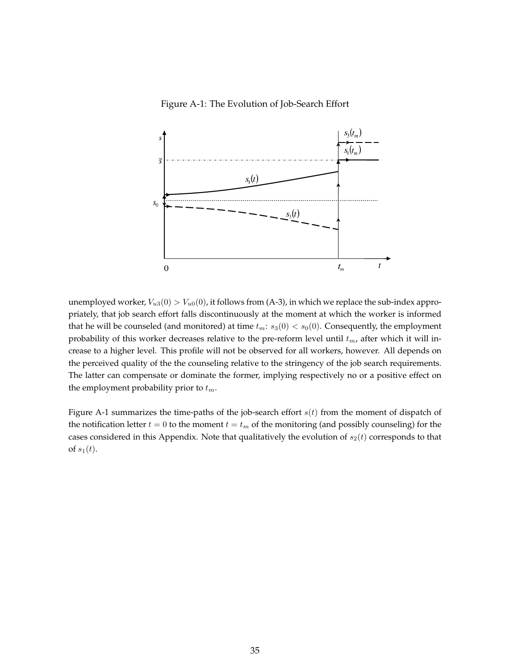Figure A-1: The Evolution of Job-Search Effort



unemployed worker,  $V_{u3}(0) > V_{u0}(0)$ , it follows from (A-3), in which we replace the sub-index appropriately, that job search effort falls discontinuously at the moment at which the worker is informed that he will be counseled (and monitored) at time  $t_m$ :  $s_3(0) < s_0(0)$ . Consequently, the employment probability of this worker decreases relative to the pre-reform level until  $t_m$ , after which it will increase to a higher level. This profile will not be observed for all workers, however. All depends on the perceived quality of the the counseling relative to the stringency of the job search requirements. The latter can compensate or dominate the former, implying respectively no or a positive effect on the employment probability prior to  $t_m$ .

Figure A-1 summarizes the time-paths of the job-search effort  $s(t)$  from the moment of dispatch of the notification letter  $t = 0$  to the moment  $t = t_m$  of the monitoring (and possibly counseling) for the cases considered in this Appendix. Note that qualitatively the evolution of  $s_2(t)$  corresponds to that of  $s_1(t)$ .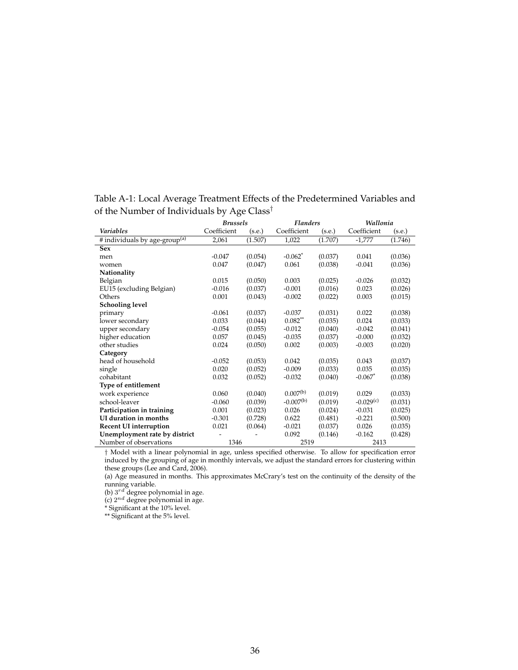|                                           | <b>Brussels</b> |         | <b>Flanders</b>       |         | Wallonia              |         |
|-------------------------------------------|-----------------|---------|-----------------------|---------|-----------------------|---------|
| Variables                                 | Coefficient     | (s.e.)  | Coefficient           | (s.e.)  | Coefficient           | (s.e.)  |
| # individuals by age-group <sup>(a)</sup> | 2,061           | (1.507) | 1,022                 | (1.707) | $-1,777$              | (1.746) |
| <b>Sex</b>                                |                 |         |                       |         |                       |         |
| men                                       | $-0.047$        | (0.054) | $-0.062$ <sup>*</sup> | (0.037) | 0.041                 | (0.036) |
| women                                     | 0.047           | (0.047) | 0.061                 | (0.038) | $-0.041$              | (0.036) |
| Nationality                               |                 |         |                       |         |                       |         |
| Belgian                                   | 0.015           | (0.050) | 0.003                 | (0.025) | $-0.026$              | (0.032) |
| EU15 (excluding Belgian)                  | $-0.016$        | (0.037) | $-0.001$              | (0.016) | 0.023                 | (0.026) |
| Others                                    | 0.001           | (0.043) | $-0.002$              | (0.022) | 0.003                 | (0.015) |
| <b>Schooling level</b>                    |                 |         |                       |         |                       |         |
| primary                                   | $-0.061$        | (0.037) | $-0.037$              | (0.031) | 0.022                 | (0.038) |
| lower secondary                           | 0.033           | (0.044) | $0.082$ **            | (0.035) | 0.024                 | (0.033) |
| upper secondary                           | $-0.054$        | (0.055) | $-0.012$              | (0.040) | $-0.042$              | (0.041) |
| higher education                          | 0.057           | (0.045) | $-0.035$              | (0.037) | $-0.000$              | (0.032) |
| other studies                             | 0.024           | (0.050) | 0.002                 | (0.003) | $-0.003$              | (0.020) |
| Category                                  |                 |         |                       |         |                       |         |
| head of household                         | $-0.052$        | (0.053) | 0.042                 | (0.035) | 0.043                 | (0.037) |
| single                                    | 0.020           | (0.052) | $-0.009$              | (0.033) | 0.035                 | (0.035) |
| cohabitant                                | 0.032           | (0.052) | $-0.032$              | (0.040) | $-0.067$ <sup>*</sup> | (0.038) |
| Type of entitlement                       |                 |         |                       |         |                       |         |
| work experience                           | 0.060           | (0.040) | $0.007^{(b)}$         | (0.019) | 0.029                 | (0.033) |
| school-leaver                             | $-0.060$        | (0.039) | $-0.007^{(b)}$        | (0.019) | $-0.029(c)$           | (0.031) |
| Participation in training                 | 0.001           | (0.023) | 0.026                 | (0.024) | $-0.031$              | (0.025) |
| UI duration in months                     | $-0.301$        | (0.728) | 0.622                 | (0.481) | $-0.221$              | (0.500) |
| <b>Recent UI interruption</b>             | 0.021           | (0.064) | $-0.021$              | (0.037) | 0.026                 | (0.035) |
| Unemployment rate by district             |                 |         | 0.092                 | (0.146) | $-0.162$              | (0.428) |
| Number of observations                    | 1346            |         | 2519                  |         | 2413                  |         |

Table A-1: Local Average Treatment Effects of the Predetermined Variables and of the Number of Individuals by Age Class†

† Model with a linear polynomial in age, unless specified otherwise. To allow for specification error induced by the grouping of age in monthly intervals, we adjust the standard errors for clustering within these groups (Lee and Card, 2006).

(a) Age measured in months. This approximates McCrary's test on the continuity of the density of the running variable.

(b)  $3^{rd}$  degree polynomial in age.

(c)  $2^{nd}$  degree polynomial in age.

\* Significant at the 10% level.

\*\* Significant at the 5% level.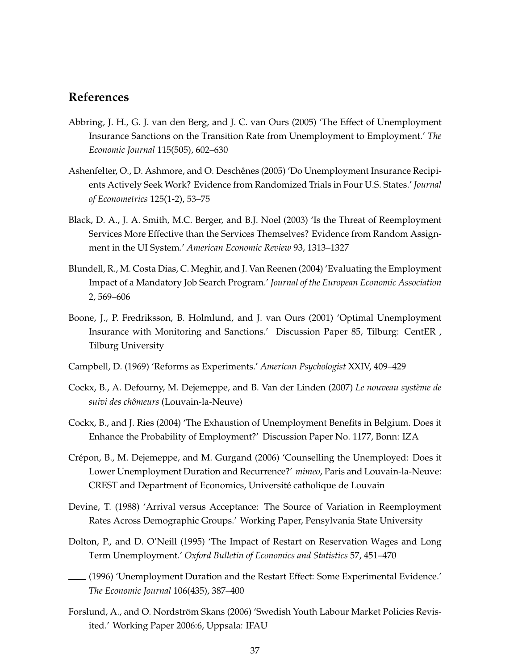# **References**

- Abbring, J. H., G. J. van den Berg, and J. C. van Ours (2005) 'The Effect of Unemployment Insurance Sanctions on the Transition Rate from Unemployment to Employment.' *The Economic Journal* 115(505), 602–630
- Ashenfelter, O., D. Ashmore, and O. Deschênes (2005) 'Do Unemployment Insurance Recipients Actively Seek Work? Evidence from Randomized Trials in Four U.S. States.' *Journal of Econometrics* 125(1-2), 53–75
- Black, D. A., J. A. Smith, M.C. Berger, and B.J. Noel (2003) 'Is the Threat of Reemployment Services More Effective than the Services Themselves? Evidence from Random Assignment in the UI System.' *American Economic Review* 93, 1313–1327
- Blundell, R., M. Costa Dias, C. Meghir, and J. Van Reenen (2004) 'Evaluating the Employment Impact of a Mandatory Job Search Program.' *Journal of the European Economic Association* 2, 569–606
- Boone, J., P. Fredriksson, B. Holmlund, and J. van Ours (2001) 'Optimal Unemployment Insurance with Monitoring and Sanctions.' Discussion Paper 85, Tilburg: CentER , Tilburg University
- Campbell, D. (1969) 'Reforms as Experiments.' *American Psychologist* XXIV, 409–429
- Cockx, B., A. Defourny, M. Dejemeppe, and B. Van der Linden (2007) *Le nouveau système de suivi des chômeurs* (Louvain-la-Neuve)
- Cockx, B., and J. Ries (2004) 'The Exhaustion of Unemployment Benefits in Belgium. Does it Enhance the Probability of Employment?' Discussion Paper No. 1177, Bonn: IZA
- Crépon, B., M. Dejemeppe, and M. Gurgand (2006) 'Counselling the Unemployed: Does it Lower Unemployment Duration and Recurrence?' *mimeo*, Paris and Louvain-la-Neuve: CREST and Department of Economics, Université catholique de Louvain
- Devine, T. (1988) 'Arrival versus Acceptance: The Source of Variation in Reemployment Rates Across Demographic Groups.' Working Paper, Pensylvania State University
- Dolton, P., and D. O'Neill (1995) 'The Impact of Restart on Reservation Wages and Long Term Unemployment.' *Oxford Bulletin of Economics and Statistics* 57, 451–470
- (1996) 'Unemployment Duration and the Restart Effect: Some Experimental Evidence.' *The Economic Journal* 106(435), 387–400
- Forslund, A., and O. Nordström Skans (2006) 'Swedish Youth Labour Market Policies Revisited.' Working Paper 2006:6, Uppsala: IFAU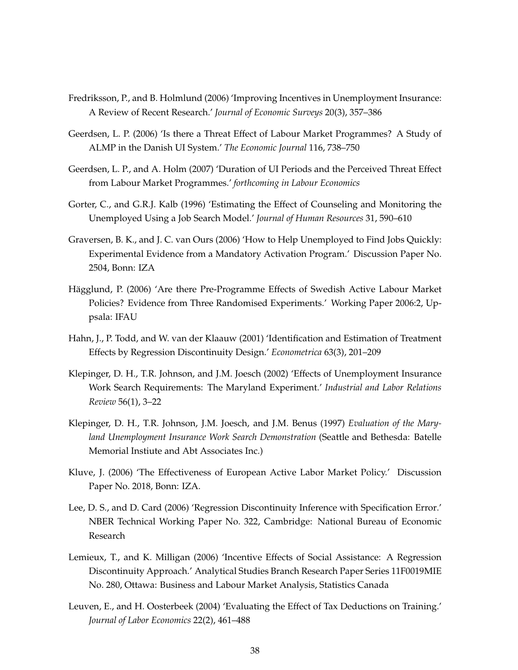- Fredriksson, P., and B. Holmlund (2006) 'Improving Incentives in Unemployment Insurance: A Review of Recent Research.' *Journal of Economic Surveys* 20(3), 357–386
- Geerdsen, L. P. (2006) 'Is there a Threat Effect of Labour Market Programmes? A Study of ALMP in the Danish UI System.' *The Economic Journal* 116, 738–750
- Geerdsen, L. P., and A. Holm (2007) 'Duration of UI Periods and the Perceived Threat Effect from Labour Market Programmes.' *forthcoming in Labour Economics*
- Gorter, C., and G.R.J. Kalb (1996) 'Estimating the Effect of Counseling and Monitoring the Unemployed Using a Job Search Model.' *Journal of Human Resources* 31, 590–610
- Graversen, B. K., and J. C. van Ours (2006) 'How to Help Unemployed to Find Jobs Quickly: Experimental Evidence from a Mandatory Activation Program.' Discussion Paper No. 2504, Bonn: IZA
- Hägglund, P. (2006) 'Are there Pre-Programme Effects of Swedish Active Labour Market Policies? Evidence from Three Randomised Experiments.' Working Paper 2006:2, Uppsala: IFAU
- Hahn, J., P. Todd, and W. van der Klaauw (2001) 'Identification and Estimation of Treatment Effects by Regression Discontinuity Design.' *Econometrica* 63(3), 201–209
- Klepinger, D. H., T.R. Johnson, and J.M. Joesch (2002) 'Effects of Unemployment Insurance Work Search Requirements: The Maryland Experiment.' *Industrial and Labor Relations Review* 56(1), 3–22
- Klepinger, D. H., T.R. Johnson, J.M. Joesch, and J.M. Benus (1997) *Evaluation of the Maryland Unemployment Insurance Work Search Demonstration* (Seattle and Bethesda: Batelle Memorial Instiute and Abt Associates Inc.)
- Kluve, J. (2006) 'The Effectiveness of European Active Labor Market Policy.' Discussion Paper No. 2018, Bonn: IZA.
- Lee, D. S., and D. Card (2006) 'Regression Discontinuity Inference with Specification Error.' NBER Technical Working Paper No. 322, Cambridge: National Bureau of Economic Research
- Lemieux, T., and K. Milligan (2006) 'Incentive Effects of Social Assistance: A Regression Discontinuity Approach.' Analytical Studies Branch Research Paper Series 11F0019MIE No. 280, Ottawa: Business and Labour Market Analysis, Statistics Canada
- Leuven, E., and H. Oosterbeek (2004) 'Evaluating the Effect of Tax Deductions on Training.' *Journal of Labor Economics* 22(2), 461–488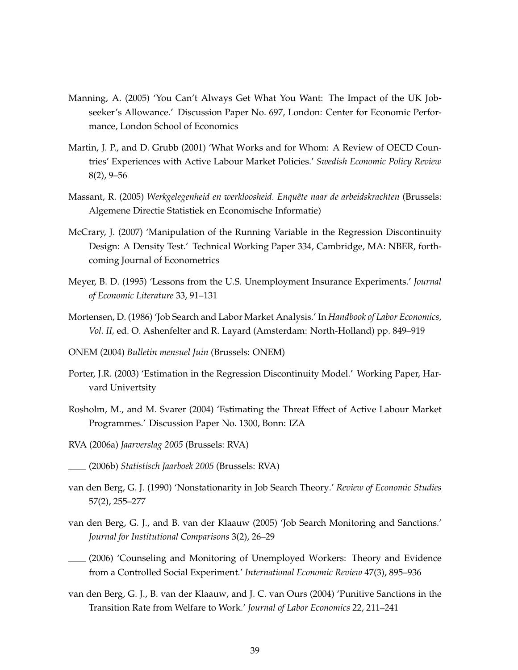- Manning, A. (2005) 'You Can't Always Get What You Want: The Impact of the UK Jobseeker's Allowance.' Discussion Paper No. 697, London: Center for Economic Performance, London School of Economics
- Martin, J. P., and D. Grubb (2001) 'What Works and for Whom: A Review of OECD Countries' Experiences with Active Labour Market Policies.' *Swedish Economic Policy Review* 8(2), 9–56
- Massant, R. (2005) *Werkgelegenheid en werkloosheid. Enquête naar de arbeidskrachten* (Brussels: Algemene Directie Statistiek en Economische Informatie)
- McCrary, J. (2007) 'Manipulation of the Running Variable in the Regression Discontinuity Design: A Density Test.' Technical Working Paper 334, Cambridge, MA: NBER, forthcoming Journal of Econometrics
- Meyer, B. D. (1995) 'Lessons from the U.S. Unemployment Insurance Experiments.' *Journal of Economic Literature* 33, 91–131
- Mortensen, D. (1986) 'Job Search and Labor Market Analysis.' In *Handbook of Labor Economics, Vol. II,* ed. O. Ashenfelter and R. Layard (Amsterdam: North-Holland) pp. 849–919
- ONEM (2004) *Bulletin mensuel Juin* (Brussels: ONEM)
- Porter, J.R. (2003) 'Estimation in the Regression Discontinuity Model.' Working Paper, Harvard Univertsity
- Rosholm, M., and M. Svarer (2004) 'Estimating the Threat Effect of Active Labour Market Programmes.' Discussion Paper No. 1300, Bonn: IZA
- RVA (2006a) *Jaarverslag 2005* (Brussels: RVA)
- (2006b) *Statistisch Jaarboek 2005* (Brussels: RVA)
- van den Berg, G. J. (1990) 'Nonstationarity in Job Search Theory.' *Review of Economic Studies* 57(2), 255–277
- van den Berg, G. J., and B. van der Klaauw (2005) 'Job Search Monitoring and Sanctions.' *Journal for Institutional Comparisons* 3(2), 26–29
- (2006) 'Counseling and Monitoring of Unemployed Workers: Theory and Evidence from a Controlled Social Experiment.' *International Economic Review* 47(3), 895–936
- van den Berg, G. J., B. van der Klaauw, and J. C. van Ours (2004) 'Punitive Sanctions in the Transition Rate from Welfare to Work.' *Journal of Labor Economics* 22, 211–241